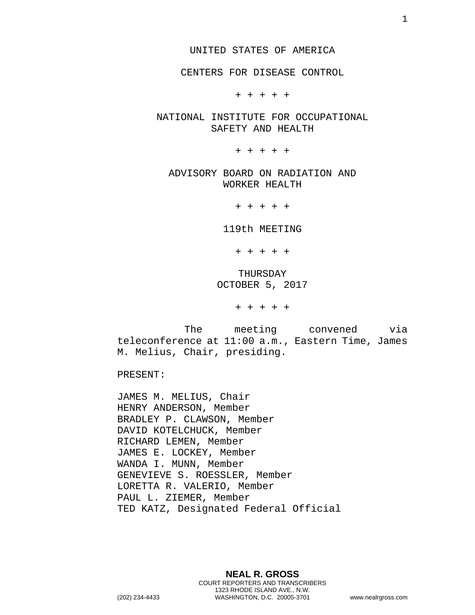CENTERS FOR DISEASE CONTROL

+ + + + +

NATIONAL INSTITUTE FOR OCCUPATIONAL SAFETY AND HEALTH

+ + + + +

ADVISORY BOARD ON RADIATION AND WORKER HEALTH

+ + + + +

119th MEETING

+ + + + +

THURSDAY OCTOBER 5, 2017

+ + + + +

The meeting convened via teleconference at 11:00 a.m., Eastern Time, James M. Melius, Chair, presiding.

PRESENT:

JAMES M. MELIUS, Chair HENRY ANDERSON, Member BRADLEY P. CLAWSON, Member DAVID KOTELCHUCK, Member RICHARD LEMEN, Member JAMES E. LOCKEY, Member WANDA I. MUNN, Member GENEVIEVE S. ROESSLER, Member LORETTA R. VALERIO, Member PAUL L. ZIEMER, Member TED KATZ, Designated Federal Official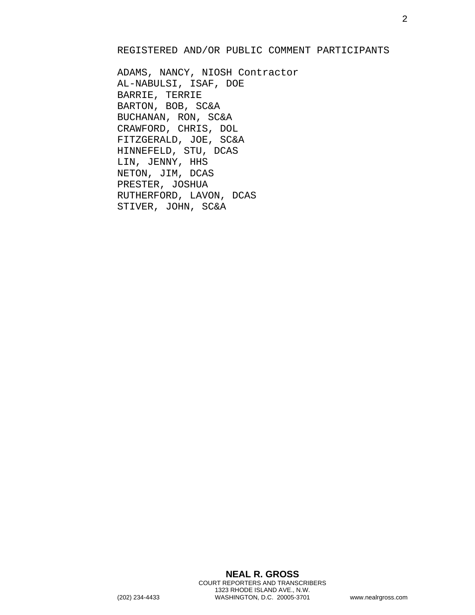### REGISTERED AND/OR PUBLIC COMMENT PARTICIPANTS

ADAMS, NANCY, NIOSH Contractor AL-NABULSI, ISAF, DOE BARRIE, TERRIE BARTON, BOB, SC&A BUCHANAN, RON, SC&A CRAWFORD, CHRIS, DOL FITZGERALD, JOE, SC&A HINNEFELD, STU, DCAS LIN, JENNY, HHS NETON, JIM, DCAS PRESTER, JOSHUA RUTHERFORD, LAVON, DCAS STIVER, JOHN, SC&A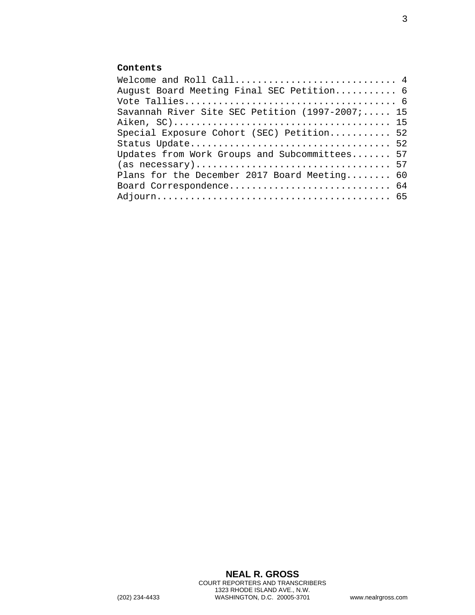# **Contents**

| Welcome and Roll Call 4                         |  |
|-------------------------------------------------|--|
| August Board Meeting Final SEC Petition 6       |  |
|                                                 |  |
| Savannah River Site SEC Petition (1997-2007; 15 |  |
|                                                 |  |
| Special Exposure Cohort (SEC) Petition 52       |  |
|                                                 |  |
| Updates from Work Groups and Subcommittees 57   |  |
|                                                 |  |
| Plans for the December 2017 Board Meeting 60    |  |
| Board Correspondence 64                         |  |
|                                                 |  |
|                                                 |  |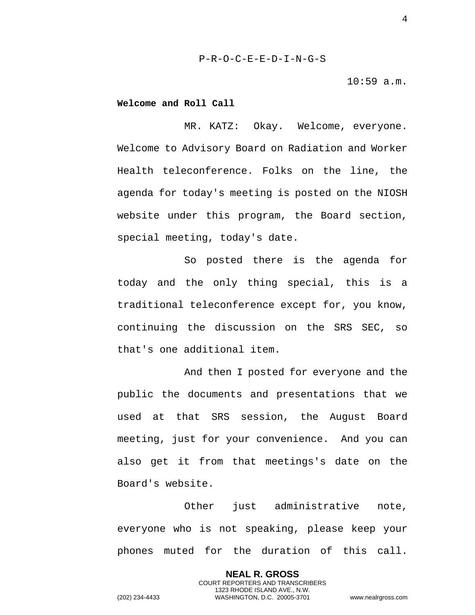10:59 a.m.

### <span id="page-3-0"></span>**Welcome and Roll Call**

MR. KATZ: Okay. Welcome, everyone. Welcome to Advisory Board on Radiation and Worker Health teleconference. Folks on the line, the agenda for today's meeting is posted on the NIOSH website under this program, the Board section, special meeting, today's date.

So posted there is the agenda for today and the only thing special, this is a traditional teleconference except for, you know, continuing the discussion on the SRS SEC, so that's one additional item.

And then I posted for everyone and the public the documents and presentations that we used at that SRS session, the August Board meeting, just for your convenience. And you can also get it from that meetings's date on the Board's website.

Other just administrative note, everyone who is not speaking, please keep your phones muted for the duration of this call.

> **NEAL R. GROSS** COURT REPORTERS AND TRANSCRIBERS 1323 RHODE ISLAND AVE., N.W.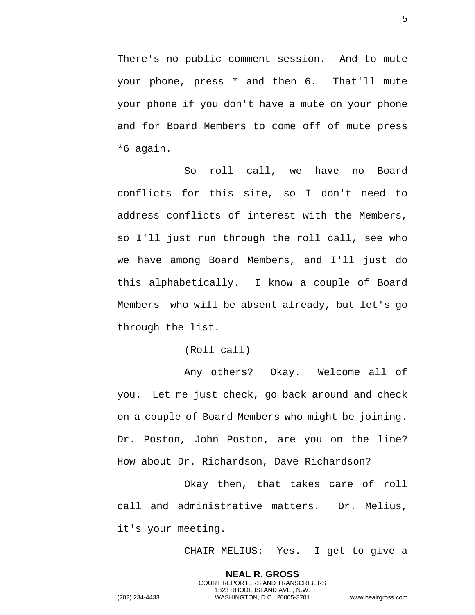There's no public comment session. And to mute your phone, press \* and then 6. That'll mute your phone if you don't have a mute on your phone and for Board Members to come off of mute press \*6 again.

So roll call, we have no Board conflicts for this site, so I don't need to address conflicts of interest with the Members, so I'll just run through the roll call, see who we have among Board Members, and I'll just do this alphabetically. I know a couple of Board Members who will be absent already, but let's go through the list.

(Roll call)

Any others? Okay. Welcome all of you. Let me just check, go back around and check on a couple of Board Members who might be joining. Dr. Poston, John Poston, are you on the line? How about Dr. Richardson, Dave Richardson?

Okay then, that takes care of roll call and administrative matters. Dr. Melius, it's your meeting.

> **NEAL R. GROSS** COURT REPORTERS AND TRANSCRIBERS 1323 RHODE ISLAND AVE., N.W.

CHAIR MELIUS: Yes. I get to give a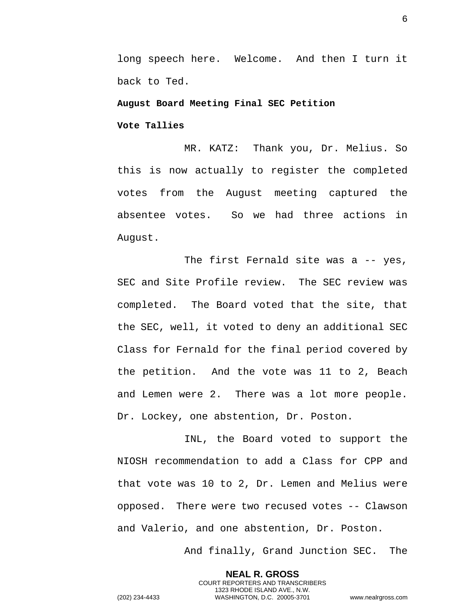long speech here. Welcome. And then I turn it back to Ted.

<span id="page-5-0"></span>**August Board Meeting Final SEC Petition** 

<span id="page-5-1"></span>**Vote Tallies** 

MR. KATZ: Thank you, Dr. Melius. So this is now actually to register the completed votes from the August meeting captured the absentee votes. So we had three actions in August.

The first Fernald site was a -- yes, SEC and Site Profile review. The SEC review was completed. The Board voted that the site, that the SEC, well, it voted to deny an additional SEC Class for Fernald for the final period covered by the petition. And the vote was 11 to 2, Beach and Lemen were 2. There was a lot more people. Dr. Lockey, one abstention, Dr. Poston.

INL, the Board voted to support the NIOSH recommendation to add a Class for CPP and that vote was 10 to 2, Dr. Lemen and Melius were opposed. There were two recused votes -- Clawson and Valerio, and one abstention, Dr. Poston.

And finally, Grand Junction SEC. The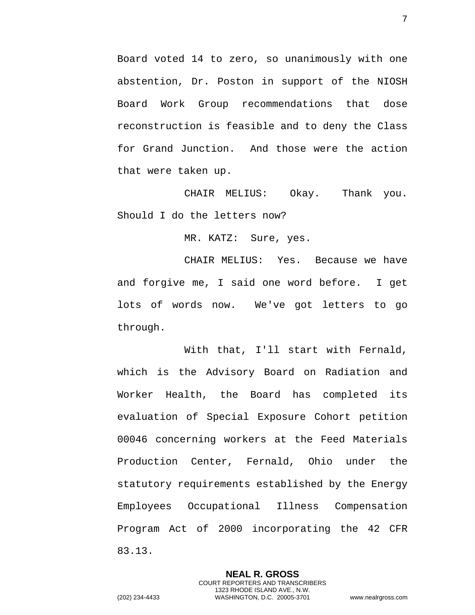Board voted 14 to zero, so unanimously with one abstention, Dr. Poston in support of the NIOSH Board Work Group recommendations that dose reconstruction is feasible and to deny the Class for Grand Junction. And those were the action that were taken up.

CHAIR MELIUS: Okay. Thank you. Should I do the letters now?

MR. KATZ: Sure, yes.

CHAIR MELIUS: Yes. Because we have and forgive me, I said one word before. I get lots of words now. We've got letters to go through.

With that, I'll start with Fernald, which is the Advisory Board on Radiation and Worker Health, the Board has completed its evaluation of Special Exposure Cohort petition 00046 concerning workers at the Feed Materials Production Center, Fernald, Ohio under the statutory requirements established by the Energy Employees Occupational Illness Compensation Program Act of 2000 incorporating the 42 CFR 83.13.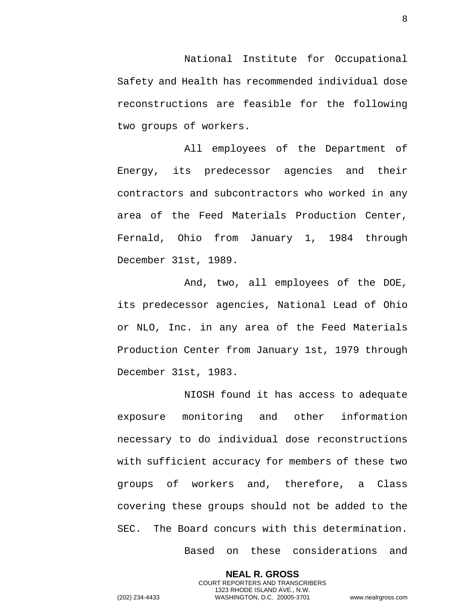National Institute for Occupational Safety and Health has recommended individual dose reconstructions are feasible for the following two groups of workers.

All employees of the Department of Energy, its predecessor agencies and their contractors and subcontractors who worked in any area of the Feed Materials Production Center, Fernald, Ohio from January 1, 1984 through December 31st, 1989.

And, two, all employees of the DOE, its predecessor agencies, National Lead of Ohio or NLO, Inc. in any area of the Feed Materials Production Center from January 1st, 1979 through December 31st, 1983.

NIOSH found it has access to adequate exposure monitoring and other information necessary to do individual dose reconstructions with sufficient accuracy for members of these two groups of workers and, therefore, a Class covering these groups should not be added to the SEC. The Board concurs with this determination.

> **NEAL R. GROSS** COURT REPORTERS AND TRANSCRIBERS 1323 RHODE ISLAND AVE., N.W.

Based on these considerations and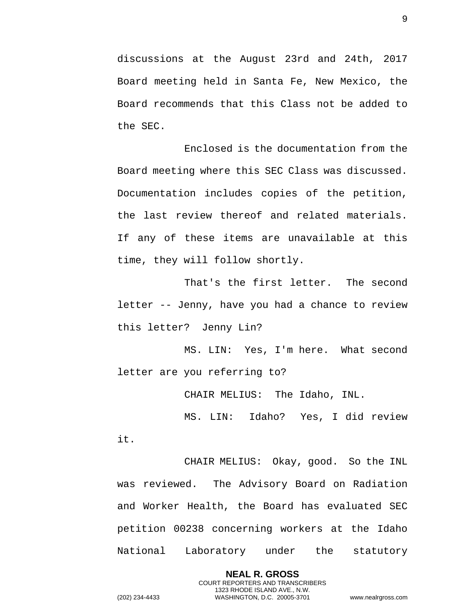discussions at the August 23rd and 24th, 2017 Board meeting held in Santa Fe, New Mexico, the Board recommends that this Class not be added to the SEC.

Enclosed is the documentation from the Board meeting where this SEC Class was discussed. Documentation includes copies of the petition, the last review thereof and related materials. If any of these items are unavailable at this time, they will follow shortly.

That's the first letter. The second letter -- Jenny, have you had a chance to review this letter? Jenny Lin?

MS. LIN: Yes, I'm here. What second letter are you referring to?

CHAIR MELIUS: The Idaho, INL.

MS. LIN: Idaho? Yes, I did review it.

CHAIR MELIUS: Okay, good. So the INL was reviewed. The Advisory Board on Radiation and Worker Health, the Board has evaluated SEC petition 00238 concerning workers at the Idaho National Laboratory under the statutory

> **NEAL R. GROSS** COURT REPORTERS AND TRANSCRIBERS 1323 RHODE ISLAND AVE., N.W.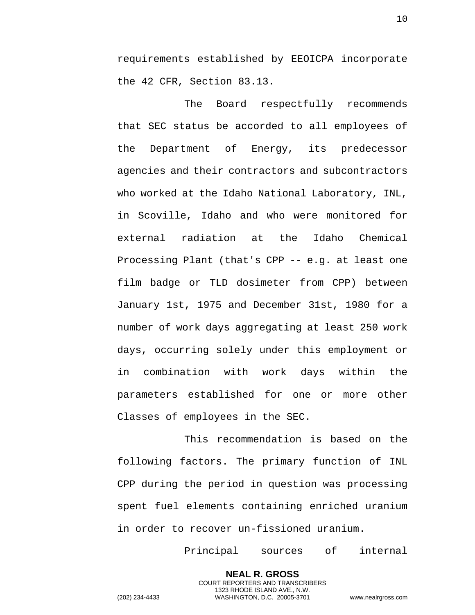requirements established by EEOICPA incorporate the 42 CFR, Section 83.13.

The Board respectfully recommends that SEC status be accorded to all employees of the Department of Energy, its predecessor agencies and their contractors and subcontractors who worked at the Idaho National Laboratory, INL, in Scoville, Idaho and who were monitored for external radiation at the Idaho Chemical Processing Plant (that's CPP -- e.g. at least one film badge or TLD dosimeter from CPP) between January 1st, 1975 and December 31st, 1980 for a number of work days aggregating at least 250 work days, occurring solely under this employment or in combination with work days within the parameters established for one or more other Classes of employees in the SEC.

This recommendation is based on the following factors. The primary function of INL CPP during the period in question was processing spent fuel elements containing enriched uranium in order to recover un-fissioned uranium.

> **NEAL R. GROSS** COURT REPORTERS AND TRANSCRIBERS 1323 RHODE ISLAND AVE., N.W.

Principal sources of internal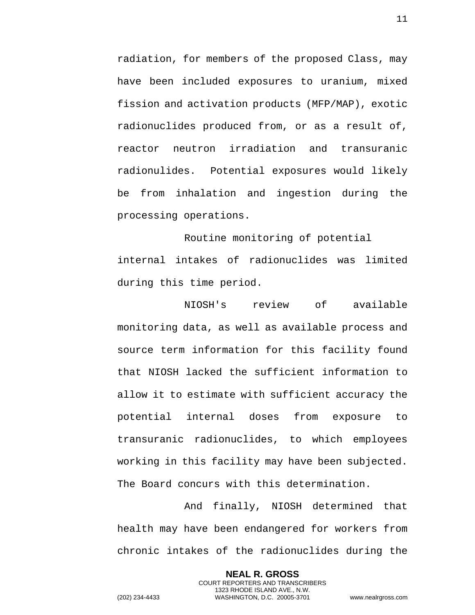radiation, for members of the proposed Class, may have been included exposures to uranium, mixed fission and activation products (MFP/MAP), exotic radionuclides produced from, or as a result of, reactor neutron irradiation and transuranic radionulides. Potential exposures would likely be from inhalation and ingestion during the processing operations.

 Routine monitoring of potential internal intakes of radionuclides was limited during this time period.

NIOSH's review of available monitoring data, as well as available process and source term information for this facility found that NIOSH lacked the sufficient information to allow it to estimate with sufficient accuracy the potential internal doses from exposure to transuranic radionuclides, to which employees working in this facility may have been subjected. The Board concurs with this determination.

And finally, NIOSH determined that health may have been endangered for workers from chronic intakes of the radionuclides during the

> **NEAL R. GROSS** COURT REPORTERS AND TRANSCRIBERS 1323 RHODE ISLAND AVE., N.W.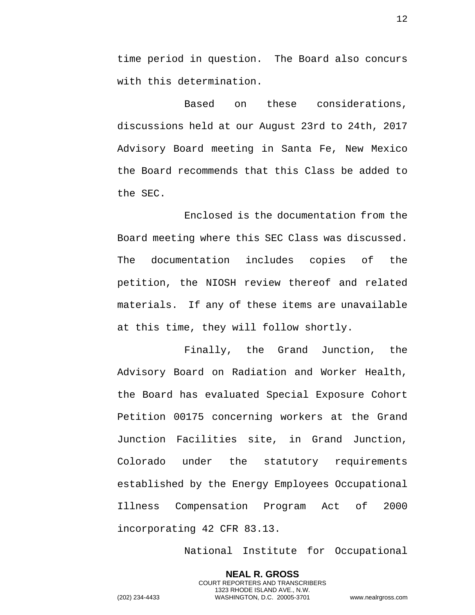time period in question. The Board also concurs with this determination.

Based on these considerations, discussions held at our August 23rd to 24th, 2017 Advisory Board meeting in Santa Fe, New Mexico the Board recommends that this Class be added to the SEC.

Enclosed is the documentation from the Board meeting where this SEC Class was discussed. The documentation includes copies of the petition, the NIOSH review thereof and related materials. If any of these items are unavailable at this time, they will follow shortly.

Finally, the Grand Junction, the Advisory Board on Radiation and Worker Health, the Board has evaluated Special Exposure Cohort Petition 00175 concerning workers at the Grand Junction Facilities site, in Grand Junction, Colorado under the statutory requirements established by the Energy Employees Occupational Illness Compensation Program Act of 2000 incorporating 42 CFR 83.13.

National Institute for Occupational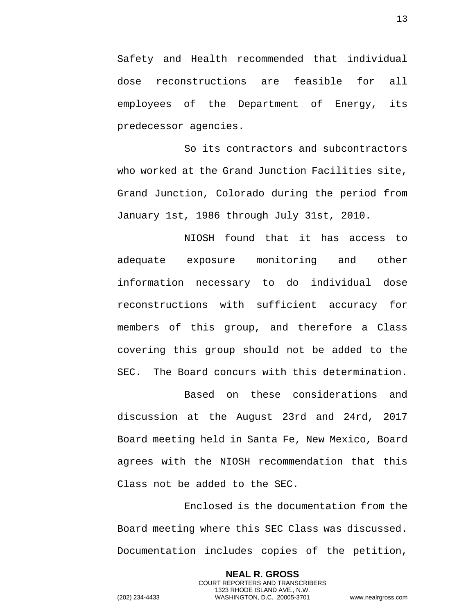Safety and Health recommended that individual dose reconstructions are feasible for all employees of the Department of Energy, its predecessor agencies.

So its contractors and subcontractors who worked at the Grand Junction Facilities site, Grand Junction, Colorado during the period from January 1st, 1986 through July 31st, 2010.

NIOSH found that it has access to adequate exposure monitoring and other information necessary to do individual dose reconstructions with sufficient accuracy for members of this group, and therefore a Class covering this group should not be added to the SEC. The Board concurs with this determination.

Based on these considerations and discussion at the August 23rd and 24rd, 2017 Board meeting held in Santa Fe, New Mexico, Board agrees with the NIOSH recommendation that this Class not be added to the SEC.

Enclosed is the documentation from the Board meeting where this SEC Class was discussed. Documentation includes copies of the petition,

> **NEAL R. GROSS** COURT REPORTERS AND TRANSCRIBERS 1323 RHODE ISLAND AVE., N.W.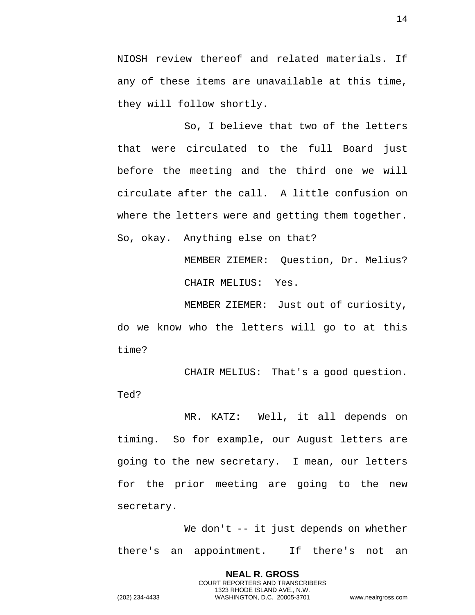NIOSH review thereof and related materials. If any of these items are unavailable at this time, they will follow shortly.

So, I believe that two of the letters that were circulated to the full Board just before the meeting and the third one we will circulate after the call. A little confusion on where the letters were and getting them together. So, okay. Anything else on that?

> MEMBER ZIEMER: Question, Dr. Melius? CHAIR MELIUS: Yes.

MEMBER ZIEMER: Just out of curiosity, do we know who the letters will go to at this time?

CHAIR MELIUS: That's a good question. Ted?

MR. KATZ: Well, it all depends on timing. So for example, our August letters are going to the new secretary. I mean, our letters for the prior meeting are going to the new secretary.

We don't -- it just depends on whether there's an appointment. If there's not an

> **NEAL R. GROSS** COURT REPORTERS AND TRANSCRIBERS 1323 RHODE ISLAND AVE., N.W.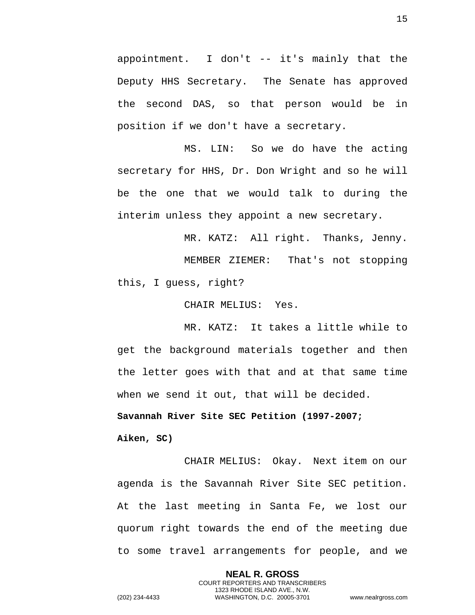appointment. I don't -- it's mainly that the Deputy HHS Secretary. The Senate has approved the second DAS, so that person would be in position if we don't have a secretary.

MS. LIN: So we do have the acting secretary for HHS, Dr. Don Wright and so he will be the one that we would talk to during the interim unless they appoint a new secretary.

MR. KATZ: All right. Thanks, Jenny.

MEMBER ZIEMER: That's not stopping this, I guess, right?

CHAIR MELIUS: Yes.

MR. KATZ: It takes a little while to get the background materials together and then the letter goes with that and at that same time when we send it out, that will be decided.

<span id="page-14-0"></span>**Savannah River Site SEC Petition (1997-2007;** 

<span id="page-14-1"></span>**Aiken, SC)** 

CHAIR MELIUS: Okay. Next item on our agenda is the Savannah River Site SEC petition. At the last meeting in Santa Fe, we lost our quorum right towards the end of the meeting due to some travel arrangements for people, and we

> **NEAL R. GROSS** COURT REPORTERS AND TRANSCRIBERS 1323 RHODE ISLAND AVE., N.W.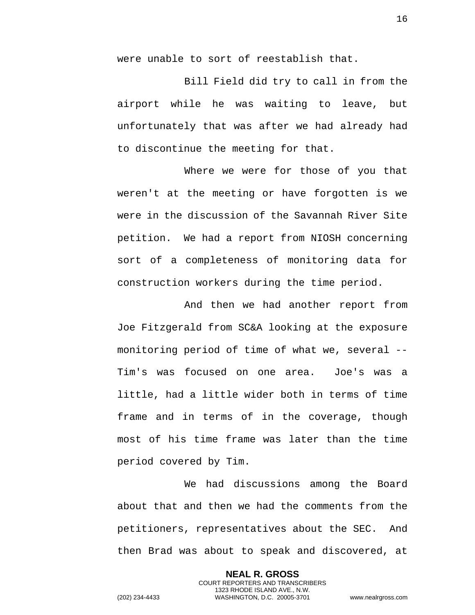were unable to sort of reestablish that.

Bill Field did try to call in from the airport while he was waiting to leave, but unfortunately that was after we had already had to discontinue the meeting for that.

Where we were for those of you that weren't at the meeting or have forgotten is we were in the discussion of the Savannah River Site petition. We had a report from NIOSH concerning sort of a completeness of monitoring data for construction workers during the time period.

And then we had another report from Joe Fitzgerald from SC&A looking at the exposure monitoring period of time of what we, several -- Tim's was focused on one area. Joe's was a little, had a little wider both in terms of time frame and in terms of in the coverage, though most of his time frame was later than the time period covered by Tim.

We had discussions among the Board about that and then we had the comments from the petitioners, representatives about the SEC. And then Brad was about to speak and discovered, at

> **NEAL R. GROSS** COURT REPORTERS AND TRANSCRIBERS 1323 RHODE ISLAND AVE., N.W.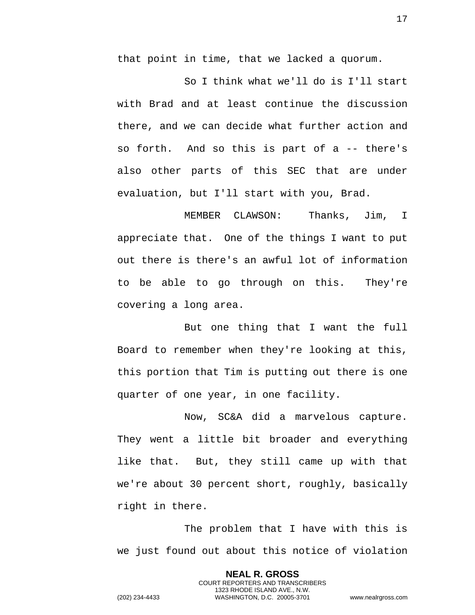that point in time, that we lacked a quorum.

So I think what we'll do is I'll start with Brad and at least continue the discussion there, and we can decide what further action and so forth. And so this is part of a -- there's also other parts of this SEC that are under evaluation, but I'll start with you, Brad.

MEMBER CLAWSON: Thanks, Jim, I appreciate that. One of the things I want to put out there is there's an awful lot of information to be able to go through on this. They're covering a long area.

But one thing that I want the full Board to remember when they're looking at this, this portion that Tim is putting out there is one quarter of one year, in one facility.

Now, SC&A did a marvelous capture. They went a little bit broader and everything like that. But, they still came up with that we're about 30 percent short, roughly, basically right in there.

The problem that I have with this is we just found out about this notice of violation

> **NEAL R. GROSS** COURT REPORTERS AND TRANSCRIBERS 1323 RHODE ISLAND AVE., N.W.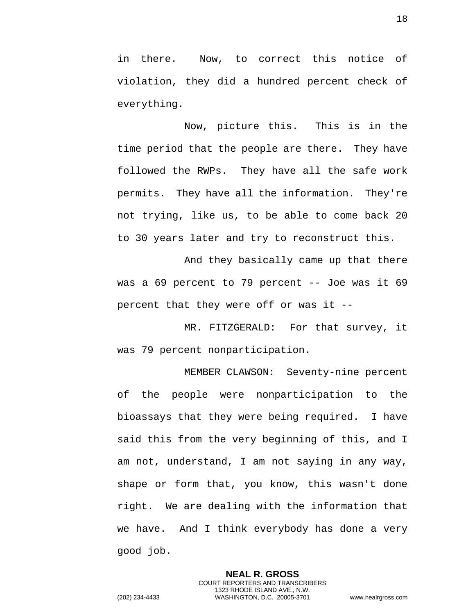in there. Now, to correct this notice of violation, they did a hundred percent check of everything.

Now, picture this. This is in the time period that the people are there. They have followed the RWPs. They have all the safe work permits. They have all the information. They're not trying, like us, to be able to come back 20 to 30 years later and try to reconstruct this.

And they basically came up that there was a 69 percent to 79 percent -- Joe was it 69 percent that they were off or was it --

MR. FITZGERALD: For that survey, it was 79 percent nonparticipation.

MEMBER CLAWSON: Seventy-nine percent of the people were nonparticipation to the bioassays that they were being required. I have said this from the very beginning of this, and I am not, understand, I am not saying in any way, shape or form that, you know, this wasn't done right. We are dealing with the information that we have. And I think everybody has done a very good job.

> **NEAL R. GROSS** COURT REPORTERS AND TRANSCRIBERS 1323 RHODE ISLAND AVE., N.W.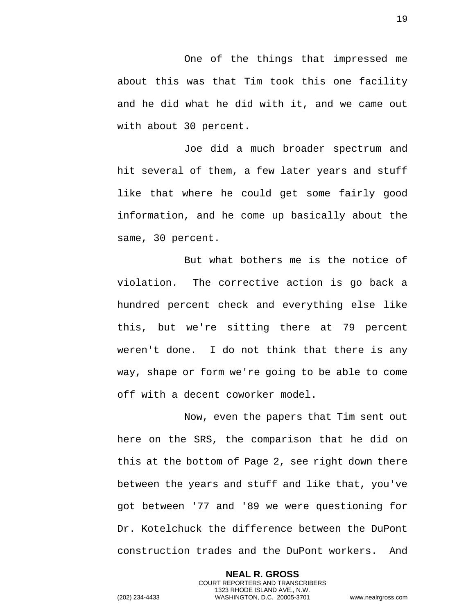One of the things that impressed me about this was that Tim took this one facility and he did what he did with it, and we came out with about 30 percent.

Joe did a much broader spectrum and hit several of them, a few later years and stuff like that where he could get some fairly good information, and he come up basically about the same, 30 percent.

But what bothers me is the notice of violation. The corrective action is go back a hundred percent check and everything else like this, but we're sitting there at 79 percent weren't done. I do not think that there is any way, shape or form we're going to be able to come off with a decent coworker model.

Now, even the papers that Tim sent out here on the SRS, the comparison that he did on this at the bottom of Page 2, see right down there between the years and stuff and like that, you've got between '77 and '89 we were questioning for Dr. Kotelchuck the difference between the DuPont construction trades and the DuPont workers. And

> **NEAL R. GROSS** COURT REPORTERS AND TRANSCRIBERS 1323 RHODE ISLAND AVE., N.W.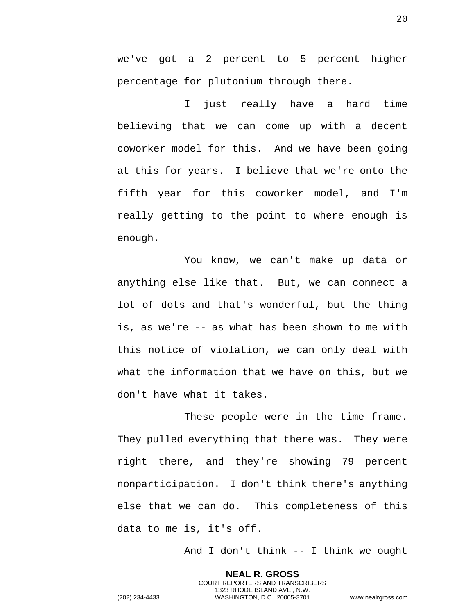we've got a 2 percent to 5 percent higher percentage for plutonium through there.

I just really have a hard time believing that we can come up with a decent coworker model for this. And we have been going at this for years. I believe that we're onto the fifth year for this coworker model, and I'm really getting to the point to where enough is enough.

You know, we can't make up data or anything else like that. But, we can connect a lot of dots and that's wonderful, but the thing is, as we're -- as what has been shown to me with this notice of violation, we can only deal with what the information that we have on this, but we don't have what it takes.

These people were in the time frame. They pulled everything that there was. They were right there, and they're showing 79 percent nonparticipation. I don't think there's anything else that we can do. This completeness of this data to me is, it's off.

And I don't think -- I think we ought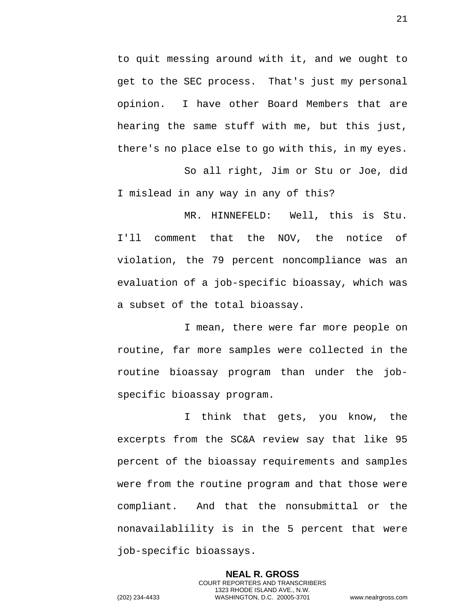to quit messing around with it, and we ought to get to the SEC process. That's just my personal opinion. I have other Board Members that are hearing the same stuff with me, but this just, there's no place else to go with this, in my eyes.

So all right, Jim or Stu or Joe, did I mislead in any way in any of this?

MR. HINNEFELD: Well, this is Stu. I'll comment that the NOV, the notice of violation, the 79 percent noncompliance was an evaluation of a job-specific bioassay, which was a subset of the total bioassay.

I mean, there were far more people on routine, far more samples were collected in the routine bioassay program than under the jobspecific bioassay program.

I think that gets, you know, the excerpts from the SC&A review say that like 95 percent of the bioassay requirements and samples were from the routine program and that those were compliant. And that the nonsubmittal or the nonavailablility is in the 5 percent that were job-specific bioassays.

> **NEAL R. GROSS** COURT REPORTERS AND TRANSCRIBERS 1323 RHODE ISLAND AVE., N.W.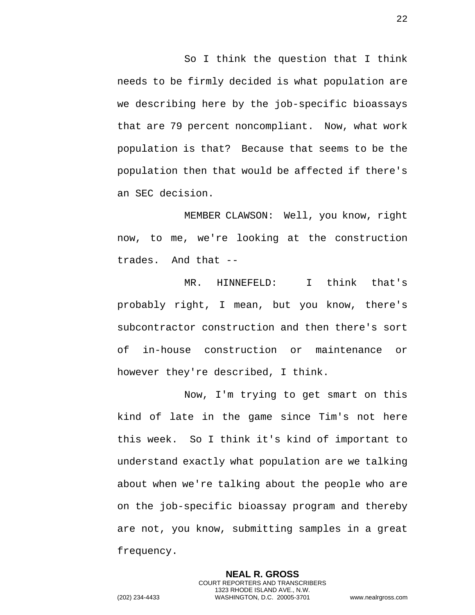So I think the question that I think needs to be firmly decided is what population are we describing here by the job-specific bioassays that are 79 percent noncompliant. Now, what work population is that? Because that seems to be the population then that would be affected if there's an SEC decision.

MEMBER CLAWSON: Well, you know, right now, to me, we're looking at the construction trades. And that --

MR. HINNEFELD: I think that's probably right, I mean, but you know, there's subcontractor construction and then there's sort of in-house construction or maintenance or however they're described, I think.

Now, I'm trying to get smart on this kind of late in the game since Tim's not here this week. So I think it's kind of important to understand exactly what population are we talking about when we're talking about the people who are on the job-specific bioassay program and thereby are not, you know, submitting samples in a great frequency.

> **NEAL R. GROSS** COURT REPORTERS AND TRANSCRIBERS 1323 RHODE ISLAND AVE., N.W.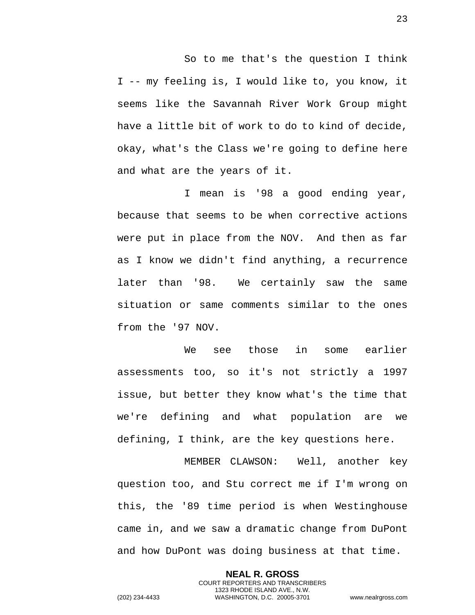So to me that's the question I think I -- my feeling is, I would like to, you know, it seems like the Savannah River Work Group might have a little bit of work to do to kind of decide, okay, what's the Class we're going to define here and what are the years of it.

I mean is '98 a good ending year, because that seems to be when corrective actions were put in place from the NOV. And then as far as I know we didn't find anything, a recurrence later than '98. We certainly saw the same situation or same comments similar to the ones from the '97 NOV.

We see those in some earlier assessments too, so it's not strictly a 1997 issue, but better they know what's the time that we're defining and what population are we defining, I think, are the key questions here.

MEMBER CLAWSON: Well, another key question too, and Stu correct me if I'm wrong on this, the '89 time period is when Westinghouse came in, and we saw a dramatic change from DuPont and how DuPont was doing business at that time.

> **NEAL R. GROSS** COURT REPORTERS AND TRANSCRIBERS 1323 RHODE ISLAND AVE., N.W.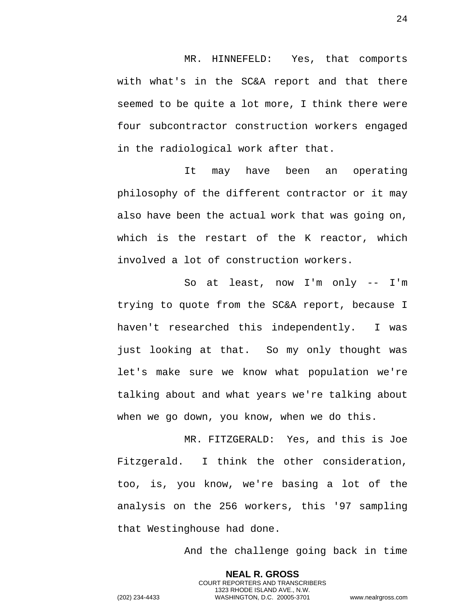MR. HINNEFELD: Yes, that comports with what's in the SC&A report and that there seemed to be quite a lot more, I think there were four subcontractor construction workers engaged in the radiological work after that.

It may have been an operating philosophy of the different contractor or it may also have been the actual work that was going on, which is the restart of the K reactor, which involved a lot of construction workers.

So at least, now I'm only -- I'm trying to quote from the SC&A report, because I haven't researched this independently. I was just looking at that. So my only thought was let's make sure we know what population we're talking about and what years we're talking about when we go down, you know, when we do this.

MR. FITZGERALD: Yes, and this is Joe Fitzgerald. I think the other consideration, too, is, you know, we're basing a lot of the analysis on the 256 workers, this '97 sampling that Westinghouse had done.

And the challenge going back in time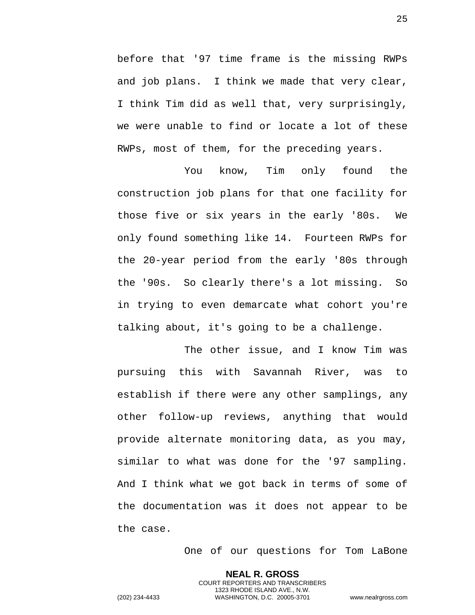before that '97 time frame is the missing RWPs and job plans. I think we made that very clear, I think Tim did as well that, very surprisingly, we were unable to find or locate a lot of these RWPs, most of them, for the preceding years.

You know, Tim only found the construction job plans for that one facility for those five or six years in the early '80s. We only found something like 14. Fourteen RWPs for the 20-year period from the early '80s through the '90s. So clearly there's a lot missing. So in trying to even demarcate what cohort you're talking about, it's going to be a challenge.

The other issue, and I know Tim was pursuing this with Savannah River, was to establish if there were any other samplings, any other follow-up reviews, anything that would provide alternate monitoring data, as you may, similar to what was done for the '97 sampling. And I think what we got back in terms of some of the documentation was it does not appear to be the case.

One of our questions for Tom LaBone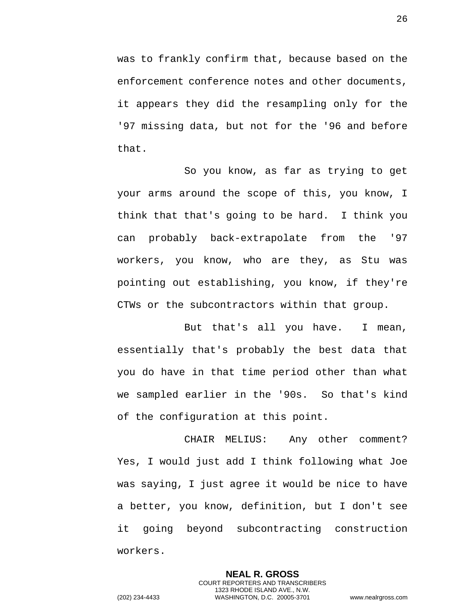was to frankly confirm that, because based on the enforcement conference notes and other documents, it appears they did the resampling only for the '97 missing data, but not for the '96 and before that.

So you know, as far as trying to get your arms around the scope of this, you know, I think that that's going to be hard. I think you can probably back-extrapolate from the '97 workers, you know, who are they, as Stu was pointing out establishing, you know, if they're CTWs or the subcontractors within that group.

But that's all you have. I mean, essentially that's probably the best data that you do have in that time period other than what we sampled earlier in the '90s. So that's kind of the configuration at this point.

CHAIR MELIUS: Any other comment? Yes, I would just add I think following what Joe was saying, I just agree it would be nice to have a better, you know, definition, but I don't see it going beyond subcontracting construction workers.

> **NEAL R. GROSS** COURT REPORTERS AND TRANSCRIBERS 1323 RHODE ISLAND AVE., N.W.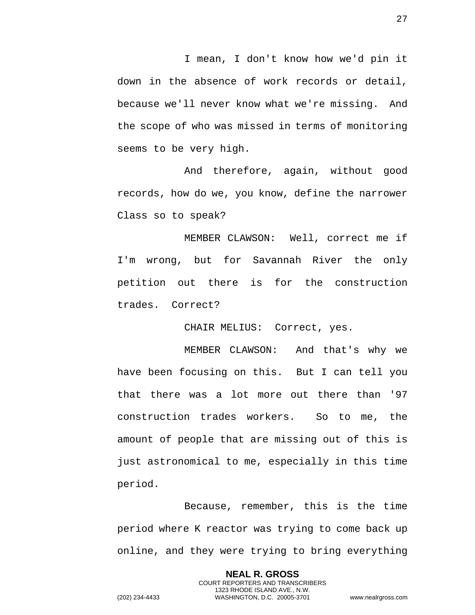I mean, I don't know how we'd pin it down in the absence of work records or detail, because we'll never know what we're missing. And the scope of who was missed in terms of monitoring seems to be very high.

And therefore, again, without good records, how do we, you know, define the narrower Class so to speak?

MEMBER CLAWSON: Well, correct me if I'm wrong, but for Savannah River the only petition out there is for the construction trades. Correct?

CHAIR MELIUS: Correct, yes.

MEMBER CLAWSON: And that's why we have been focusing on this. But I can tell you that there was a lot more out there than '97 construction trades workers. So to me, the amount of people that are missing out of this is just astronomical to me, especially in this time period.

Because, remember, this is the time period where K reactor was trying to come back up online, and they were trying to bring everything

> **NEAL R. GROSS** COURT REPORTERS AND TRANSCRIBERS 1323 RHODE ISLAND AVE., N.W.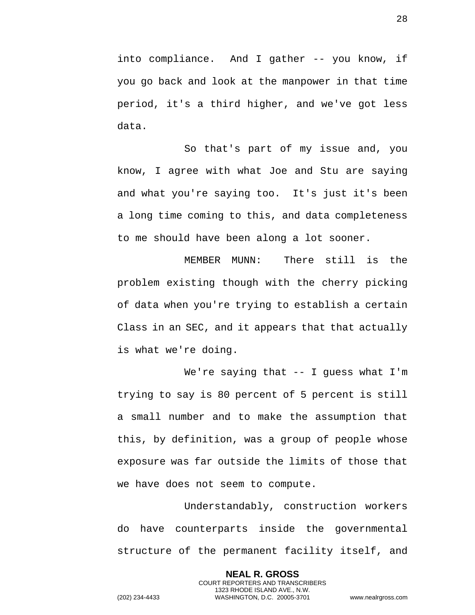into compliance. And I gather -- you know, if you go back and look at the manpower in that time period, it's a third higher, and we've got less data.

So that's part of my issue and, you know, I agree with what Joe and Stu are saying and what you're saying too. It's just it's been a long time coming to this, and data completeness to me should have been along a lot sooner.

MEMBER MUNN: There still is the problem existing though with the cherry picking of data when you're trying to establish a certain Class in an SEC, and it appears that that actually is what we're doing.

We're saying that  $-$  I guess what I'm trying to say is 80 percent of 5 percent is still a small number and to make the assumption that this, by definition, was a group of people whose exposure was far outside the limits of those that we have does not seem to compute.

Understandably, construction workers do have counterparts inside the governmental structure of the permanent facility itself, and

> **NEAL R. GROSS** COURT REPORTERS AND TRANSCRIBERS 1323 RHODE ISLAND AVE., N.W.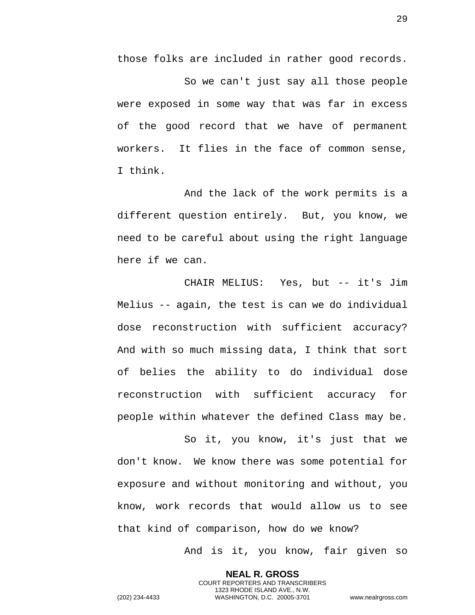those folks are included in rather good records.

So we can't just say all those people were exposed in some way that was far in excess of the good record that we have of permanent workers. It flies in the face of common sense, I think.

And the lack of the work permits is a different question entirely. But, you know, we need to be careful about using the right language here if we can.

CHAIR MELIUS: Yes, but -- it's Jim Melius -- again, the test is can we do individual dose reconstruction with sufficient accuracy? And with so much missing data, I think that sort of belies the ability to do individual dose reconstruction with sufficient accuracy for people within whatever the defined Class may be.

So it, you know, it's just that we don't know. We know there was some potential for exposure and without monitoring and without, you know, work records that would allow us to see that kind of comparison, how do we know?

And is it, you know, fair given so

**NEAL R. GROSS** COURT REPORTERS AND TRANSCRIBERS 1323 RHODE ISLAND AVE., N.W. (202) 234-4433 WASHINGTON, D.C. 20005-3701 www.nealrgross.com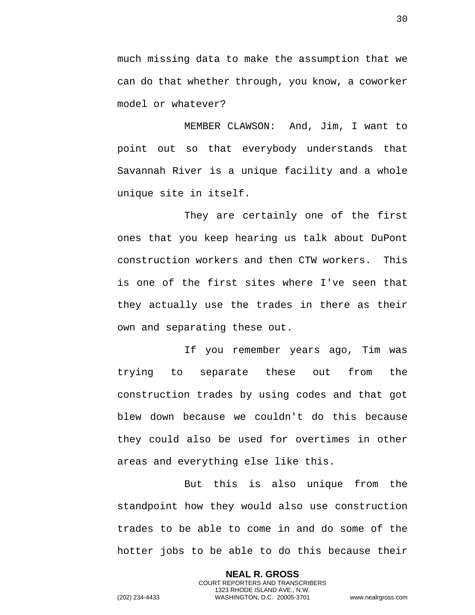much missing data to make the assumption that we can do that whether through, you know, a coworker model or whatever?

MEMBER CLAWSON: And, Jim, I want to point out so that everybody understands that Savannah River is a unique facility and a whole unique site in itself.

They are certainly one of the first ones that you keep hearing us talk about DuPont construction workers and then CTW workers. This is one of the first sites where I've seen that they actually use the trades in there as their own and separating these out.

If you remember years ago, Tim was trying to separate these out from the construction trades by using codes and that got blew down because we couldn't do this because they could also be used for overtimes in other areas and everything else like this.

But this is also unique from the standpoint how they would also use construction trades to be able to come in and do some of the hotter jobs to be able to do this because their

> **NEAL R. GROSS** COURT REPORTERS AND TRANSCRIBERS 1323 RHODE ISLAND AVE., N.W.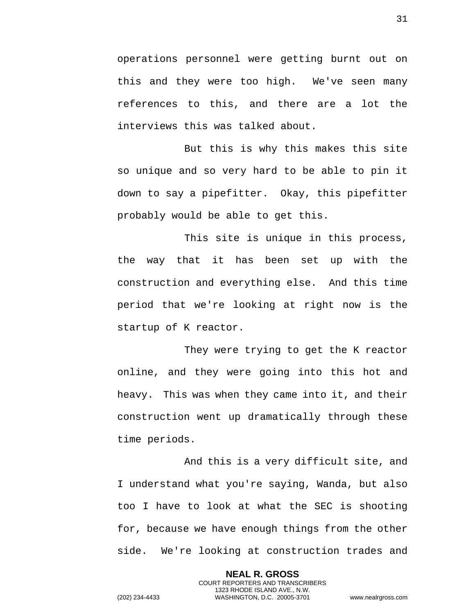operations personnel were getting burnt out on this and they were too high. We've seen many references to this, and there are a lot the interviews this was talked about.

But this is why this makes this site so unique and so very hard to be able to pin it down to say a pipefitter. Okay, this pipefitter probably would be able to get this.

This site is unique in this process, the way that it has been set up with the construction and everything else. And this time period that we're looking at right now is the startup of K reactor.

They were trying to get the K reactor online, and they were going into this hot and heavy. This was when they came into it, and their construction went up dramatically through these time periods.

And this is a very difficult site, and I understand what you're saying, Wanda, but also too I have to look at what the SEC is shooting for, because we have enough things from the other side. We're looking at construction trades and

> **NEAL R. GROSS** COURT REPORTERS AND TRANSCRIBERS 1323 RHODE ISLAND AVE., N.W.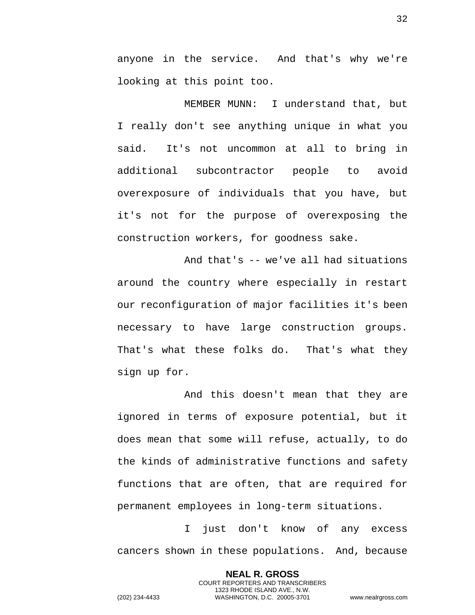anyone in the service. And that's why we're looking at this point too.

MEMBER MUNN: I understand that, but I really don't see anything unique in what you said. It's not uncommon at all to bring in additional subcontractor people to avoid overexposure of individuals that you have, but it's not for the purpose of overexposing the construction workers, for goodness sake.

And that's -- we've all had situations around the country where especially in restart our reconfiguration of major facilities it's been necessary to have large construction groups. That's what these folks do. That's what they sign up for.

And this doesn't mean that they are ignored in terms of exposure potential, but it does mean that some will refuse, actually, to do the kinds of administrative functions and safety functions that are often, that are required for permanent employees in long-term situations.

I just don't know of any excess cancers shown in these populations. And, because

> **NEAL R. GROSS** COURT REPORTERS AND TRANSCRIBERS 1323 RHODE ISLAND AVE., N.W.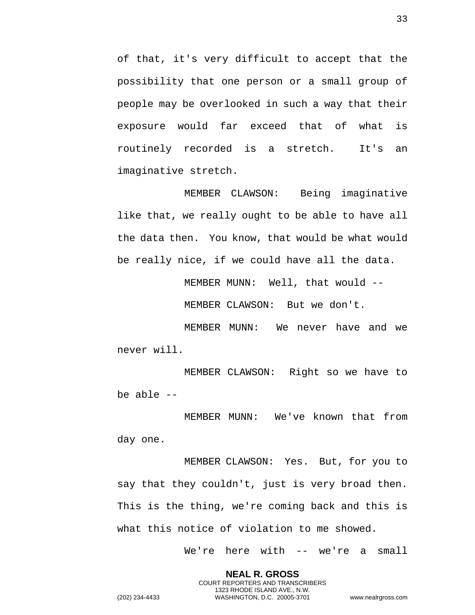of that, it's very difficult to accept that the possibility that one person or a small group of people may be overlooked in such a way that their exposure would far exceed that of what is routinely recorded is a stretch. It's an imaginative stretch.

MEMBER CLAWSON: Being imaginative like that, we really ought to be able to have all the data then. You know, that would be what would be really nice, if we could have all the data.

MEMBER MUNN: Well, that would --

MEMBER CLAWSON: But we don't.

MEMBER MUNN: We never have and we never will.

MEMBER CLAWSON: Right so we have to be able --

MEMBER MUNN: We've known that from day one.

MEMBER CLAWSON: Yes. But, for you to say that they couldn't, just is very broad then. This is the thing, we're coming back and this is what this notice of violation to me showed.

> **NEAL R. GROSS** COURT REPORTERS AND TRANSCRIBERS 1323 RHODE ISLAND AVE., N.W.

We're here with -- we're a small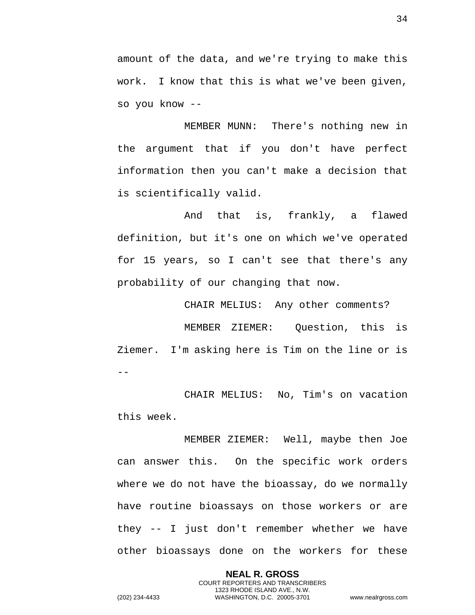amount of the data, and we're trying to make this work. I know that this is what we've been given, so you know --

MEMBER MUNN: There's nothing new in the argument that if you don't have perfect information then you can't make a decision that is scientifically valid.

And that is, frankly, a flawed definition, but it's one on which we've operated for 15 years, so I can't see that there's any probability of our changing that now.

CHAIR MELIUS: Any other comments? MEMBER ZIEMER: Question, this is Ziemer. I'm asking here is Tim on the line or is  $-$ 

CHAIR MELIUS: No, Tim's on vacation this week.

MEMBER ZIEMER: Well, maybe then Joe can answer this. On the specific work orders where we do not have the bioassay, do we normally have routine bioassays on those workers or are they -- I just don't remember whether we have other bioassays done on the workers for these

> **NEAL R. GROSS** COURT REPORTERS AND TRANSCRIBERS 1323 RHODE ISLAND AVE., N.W.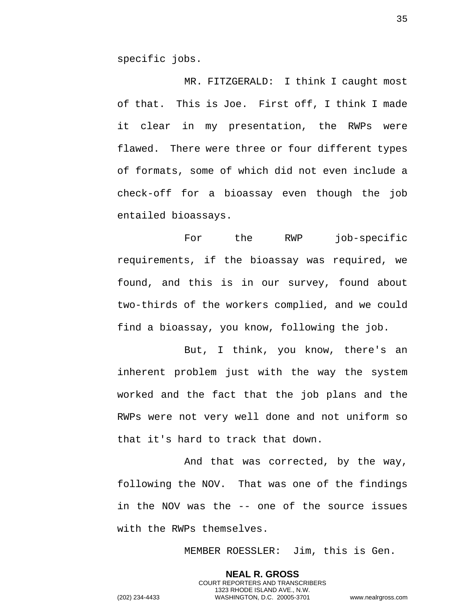specific jobs.

MR. FITZGERALD: I think I caught most of that. This is Joe. First off, I think I made it clear in my presentation, the RWPs were flawed. There were three or four different types of formats, some of which did not even include a check-off for a bioassay even though the job entailed bioassays.

For the RWP job-specific requirements, if the bioassay was required, we found, and this is in our survey, found about two-thirds of the workers complied, and we could find a bioassay, you know, following the job.

But, I think, you know, there's an inherent problem just with the way the system worked and the fact that the job plans and the RWPs were not very well done and not uniform so that it's hard to track that down.

And that was corrected, by the way, following the NOV. That was one of the findings in the NOV was the -- one of the source issues with the RWPs themselves.

MEMBER ROESSLER: Jim, this is Gen.

**NEAL R. GROSS** COURT REPORTERS AND TRANSCRIBERS 1323 RHODE ISLAND AVE., N.W. (202) 234-4433 WASHINGTON, D.C. 20005-3701 www.nealrgross.com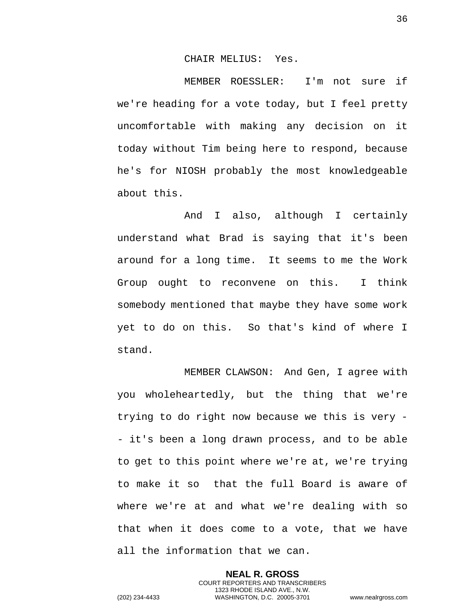CHAIR MELIUS: Yes.

MEMBER ROESSLER: I'm not sure if we're heading for a vote today, but I feel pretty uncomfortable with making any decision on it today without Tim being here to respond, because he's for NIOSH probably the most knowledgeable about this.

And I also, although I certainly understand what Brad is saying that it's been around for a long time. It seems to me the Work Group ought to reconvene on this. I think somebody mentioned that maybe they have some work yet to do on this. So that's kind of where I stand.

MEMBER CLAWSON: And Gen, I agree with you wholeheartedly, but the thing that we're trying to do right now because we this is very - - it's been a long drawn process, and to be able to get to this point where we're at, we're trying to make it so that the full Board is aware of where we're at and what we're dealing with so that when it does come to a vote, that we have all the information that we can.

> **NEAL R. GROSS** COURT REPORTERS AND TRANSCRIBERS 1323 RHODE ISLAND AVE., N.W.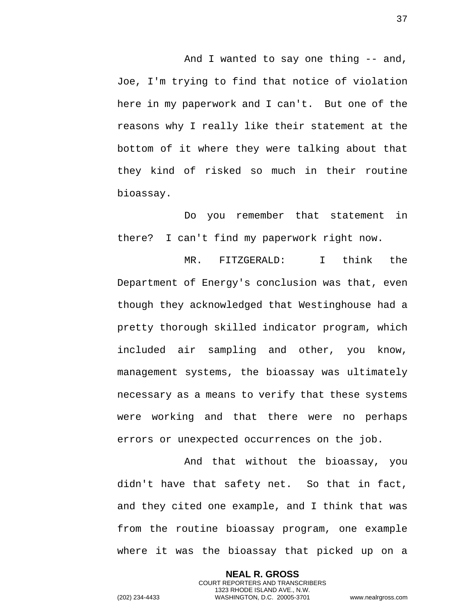And I wanted to say one thing -- and, Joe, I'm trying to find that notice of violation here in my paperwork and I can't. But one of the reasons why I really like their statement at the bottom of it where they were talking about that they kind of risked so much in their routine bioassay.

Do you remember that statement in there? I can't find my paperwork right now.

MR. FITZGERALD: I think the Department of Energy's conclusion was that, even though they acknowledged that Westinghouse had a pretty thorough skilled indicator program, which included air sampling and other, you know, management systems, the bioassay was ultimately necessary as a means to verify that these systems were working and that there were no perhaps errors or unexpected occurrences on the job.

And that without the bioassay, you didn't have that safety net. So that in fact, and they cited one example, and I think that was from the routine bioassay program, one example where it was the bioassay that picked up on a

> **NEAL R. GROSS** COURT REPORTERS AND TRANSCRIBERS 1323 RHODE ISLAND AVE., N.W.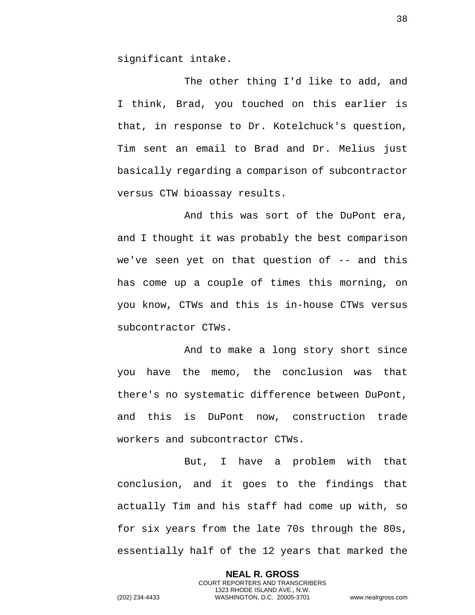significant intake.

The other thing I'd like to add, and I think, Brad, you touched on this earlier is that, in response to Dr. Kotelchuck's question, Tim sent an email to Brad and Dr. Melius just basically regarding a comparison of subcontractor versus CTW bioassay results.

And this was sort of the DuPont era, and I thought it was probably the best comparison we've seen yet on that question of  $-$ - and this has come up a couple of times this morning, on you know, CTWs and this is in-house CTWs versus subcontractor CTWs.

And to make a long story short since you have the memo, the conclusion was that there's no systematic difference between DuPont, and this is DuPont now, construction trade workers and subcontractor CTWs.

But, I have a problem with that conclusion, and it goes to the findings that actually Tim and his staff had come up with, so for six years from the late 70s through the 80s, essentially half of the 12 years that marked the

> **NEAL R. GROSS** COURT REPORTERS AND TRANSCRIBERS 1323 RHODE ISLAND AVE., N.W.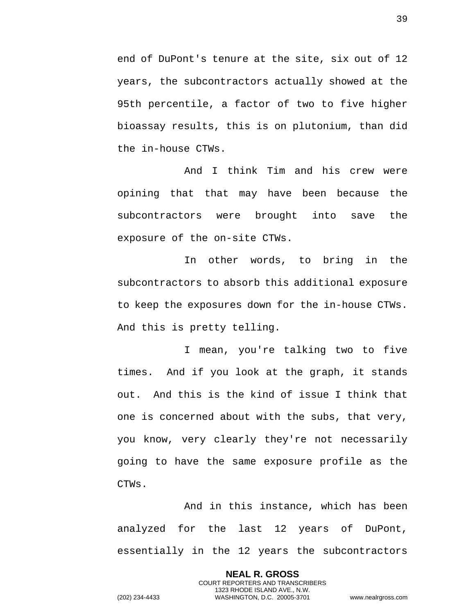end of DuPont's tenure at the site, six out of 12 years, the subcontractors actually showed at the 95th percentile, a factor of two to five higher bioassay results, this is on plutonium, than did the in-house CTWs.

And I think Tim and his crew were opining that that may have been because the subcontractors were brought into save the exposure of the on-site CTWs.

In other words, to bring in the subcontractors to absorb this additional exposure to keep the exposures down for the in-house CTWs. And this is pretty telling.

I mean, you're talking two to five times. And if you look at the graph, it stands out. And this is the kind of issue I think that one is concerned about with the subs, that very, you know, very clearly they're not necessarily going to have the same exposure profile as the CTWs.

And in this instance, which has been analyzed for the last 12 years of DuPont, essentially in the 12 years the subcontractors

> **NEAL R. GROSS** COURT REPORTERS AND TRANSCRIBERS 1323 RHODE ISLAND AVE., N.W.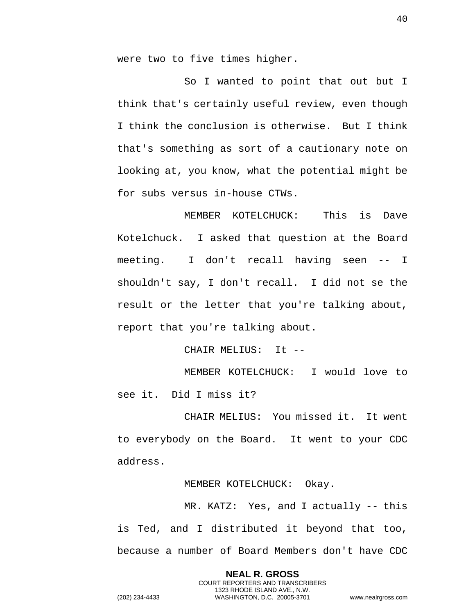were two to five times higher.

So I wanted to point that out but I think that's certainly useful review, even though I think the conclusion is otherwise. But I think that's something as sort of a cautionary note on looking at, you know, what the potential might be for subs versus in-house CTWs.

MEMBER KOTELCHUCK: This is Dave Kotelchuck. I asked that question at the Board meeting. I don't recall having seen -- I shouldn't say, I don't recall. I did not se the result or the letter that you're talking about, report that you're talking about.

CHAIR MELIUS: It --

MEMBER KOTELCHUCK: I would love to see it. Did I miss it?

CHAIR MELIUS: You missed it. It went to everybody on the Board. It went to your CDC address.

MEMBER KOTELCHUCK: Okay.

MR. KATZ: Yes, and I actually -- this is Ted, and I distributed it beyond that too, because a number of Board Members don't have CDC

> **NEAL R. GROSS** COURT REPORTERS AND TRANSCRIBERS 1323 RHODE ISLAND AVE., N.W.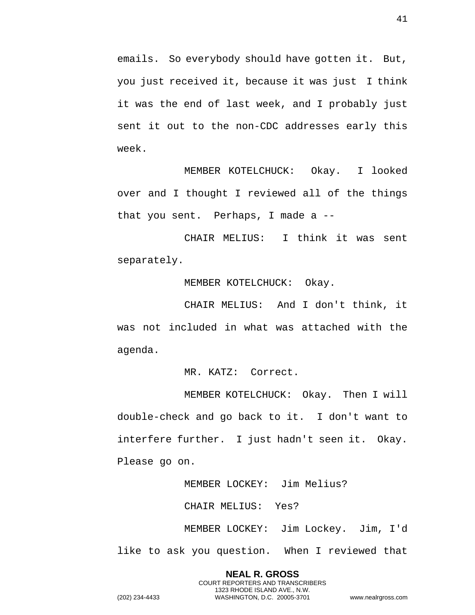emails. So everybody should have gotten it. But, you just received it, because it was just I think it was the end of last week, and I probably just sent it out to the non-CDC addresses early this week.

MEMBER KOTELCHUCK: Okay. I looked over and I thought I reviewed all of the things that you sent. Perhaps, I made a --

CHAIR MELIUS: I think it was sent separately.

MEMBER KOTELCHUCK: Okay.

CHAIR MELIUS: And I don't think, it was not included in what was attached with the agenda.

MR. KATZ: Correct.

MEMBER KOTELCHUCK: Okay. Then I will double-check and go back to it. I don't want to interfere further. I just hadn't seen it. Okay. Please go on.

MEMBER LOCKEY: Jim Melius?

CHAIR MELIUS: Yes?

MEMBER LOCKEY: Jim Lockey. Jim, I'd like to ask you question. When I reviewed that

> **NEAL R. GROSS** COURT REPORTERS AND TRANSCRIBERS 1323 RHODE ISLAND AVE., N.W.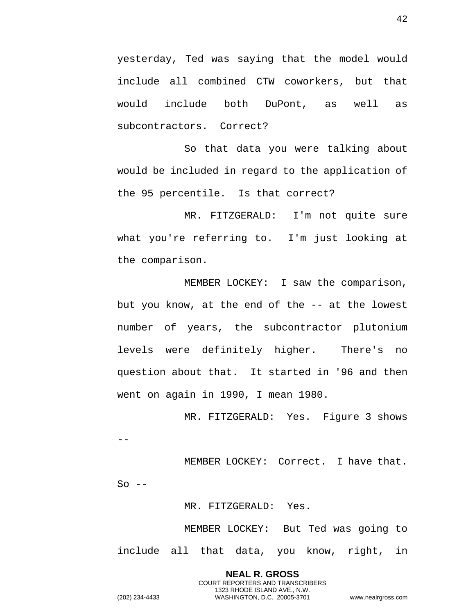yesterday, Ted was saying that the model would include all combined CTW coworkers, but that would include both DuPont, as well as subcontractors. Correct?

So that data you were talking about would be included in regard to the application of the 95 percentile. Is that correct?

MR. FITZGERALD: I'm not quite sure what you're referring to. I'm just looking at the comparison.

MEMBER LOCKEY: I saw the comparison, but you know, at the end of the -- at the lowest number of years, the subcontractor plutonium levels were definitely higher. There's no question about that. It started in '96 and then went on again in 1990, I mean 1980.

MR. FITZGERALD: Yes. Figure 3 shows --

MEMBER LOCKEY: Correct. I have that.  $So$  --

MR. FITZGERALD: Yes.

MEMBER LOCKEY: But Ted was going to include all that data, you know, right, in

**NEAL R. GROSS** COURT REPORTERS AND TRANSCRIBERS 1323 RHODE ISLAND AVE., N.W. (202) 234-4433 WASHINGTON, D.C. 20005-3701 www.nealrgross.com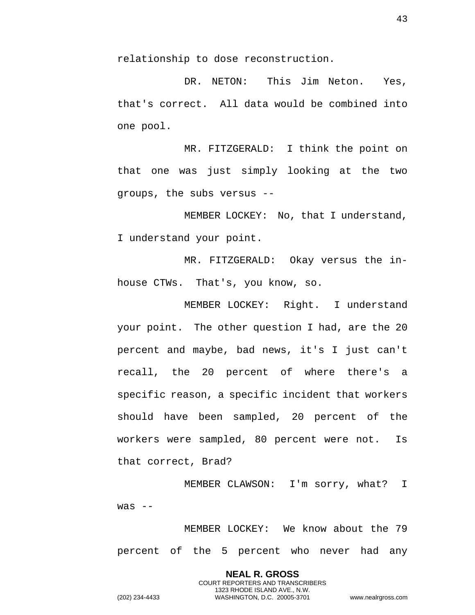relationship to dose reconstruction.

DR. NETON: This Jim Neton. Yes, that's correct. All data would be combined into one pool.

MR. FITZGERALD: I think the point on that one was just simply looking at the two groups, the subs versus --

MEMBER LOCKEY: No, that I understand, I understand your point.

MR. FITZGERALD: Okay versus the inhouse CTWs. That's, you know, so.

MEMBER LOCKEY: Right. I understand your point. The other question I had, are the 20 percent and maybe, bad news, it's I just can't recall, the 20 percent of where there's a specific reason, a specific incident that workers should have been sampled, 20 percent of the workers were sampled, 80 percent were not. Is that correct, Brad?

MEMBER CLAWSON: I'm sorry, what? I  $was$   $-$ 

MEMBER LOCKEY: We know about the 79 percent of the 5 percent who never had any

> **NEAL R. GROSS** COURT REPORTERS AND TRANSCRIBERS 1323 RHODE ISLAND AVE., N.W.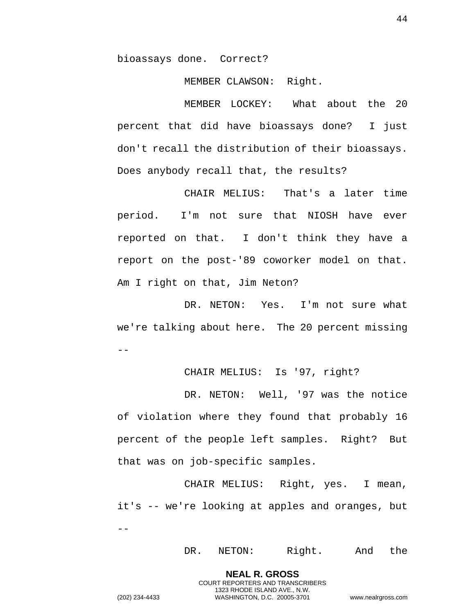bioassays done. Correct?

MEMBER CLAWSON: Right.

MEMBER LOCKEY: What about the 20 percent that did have bioassays done? I just don't recall the distribution of their bioassays. Does anybody recall that, the results?

CHAIR MELIUS: That's a later time period. I'm not sure that NIOSH have ever reported on that. I don't think they have a report on the post-'89 coworker model on that. Am I right on that, Jim Neton?

DR. NETON: Yes. I'm not sure what we're talking about here. The 20 percent missing  $- -$ 

CHAIR MELIUS: Is '97, right?

DR. NETON: Well, '97 was the notice of violation where they found that probably 16 percent of the people left samples. Right? But that was on job-specific samples.

CHAIR MELIUS: Right, yes. I mean, it's -- we're looking at apples and oranges, but  $-1$ 

> **NEAL R. GROSS** COURT REPORTERS AND TRANSCRIBERS 1323 RHODE ISLAND AVE., N.W.

DR. NETON: Right. And the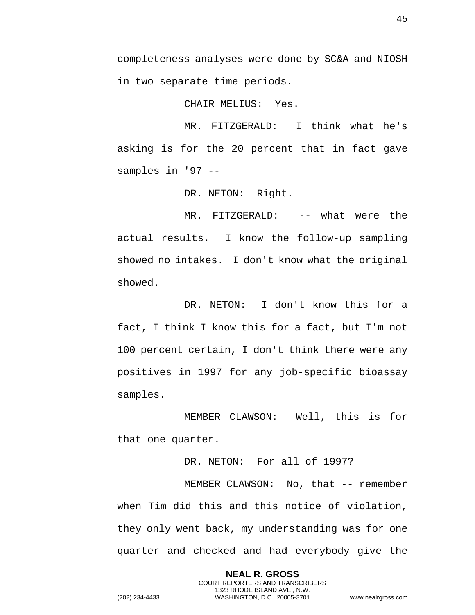completeness analyses were done by SC&A and NIOSH in two separate time periods.

CHAIR MELIUS: Yes.

MR. FITZGERALD: I think what he's asking is for the 20 percent that in fact gave samples in '97 --

DR. NETON: Right.

MR. FITZGERALD: -- what were the actual results. I know the follow-up sampling showed no intakes. I don't know what the original showed.

DR. NETON: I don't know this for a fact, I think I know this for a fact, but I'm not 100 percent certain, I don't think there were any positives in 1997 for any job-specific bioassay samples.

MEMBER CLAWSON: Well, this is for that one quarter.

DR. NETON: For all of 1997?

MEMBER CLAWSON: No, that -- remember when Tim did this and this notice of violation, they only went back, my understanding was for one quarter and checked and had everybody give the

> **NEAL R. GROSS** COURT REPORTERS AND TRANSCRIBERS 1323 RHODE ISLAND AVE., N.W.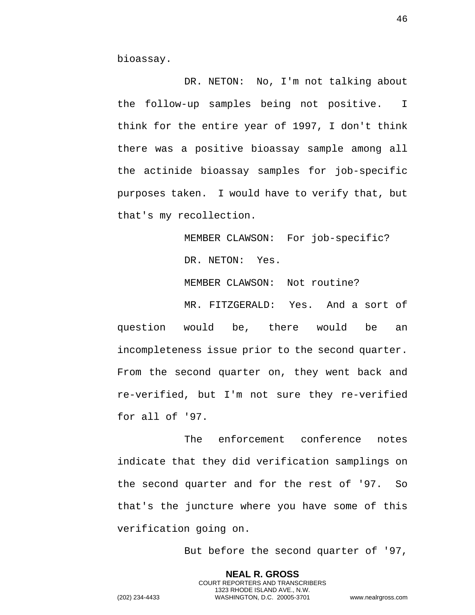bioassay.

DR. NETON: No, I'm not talking about the follow-up samples being not positive. I think for the entire year of 1997, I don't think there was a positive bioassay sample among all the actinide bioassay samples for job-specific purposes taken. I would have to verify that, but that's my recollection.

> MEMBER CLAWSON: For job-specific? DR. NETON: Yes.

MEMBER CLAWSON: Not routine?

MR. FITZGERALD: Yes. And a sort of question would be, there would be an incompleteness issue prior to the second quarter. From the second quarter on, they went back and re-verified, but I'm not sure they re-verified for all of '97.

The enforcement conference notes indicate that they did verification samplings on the second quarter and for the rest of '97. So that's the juncture where you have some of this verification going on.

> **NEAL R. GROSS** COURT REPORTERS AND TRANSCRIBERS 1323 RHODE ISLAND AVE., N.W.

But before the second quarter of '97,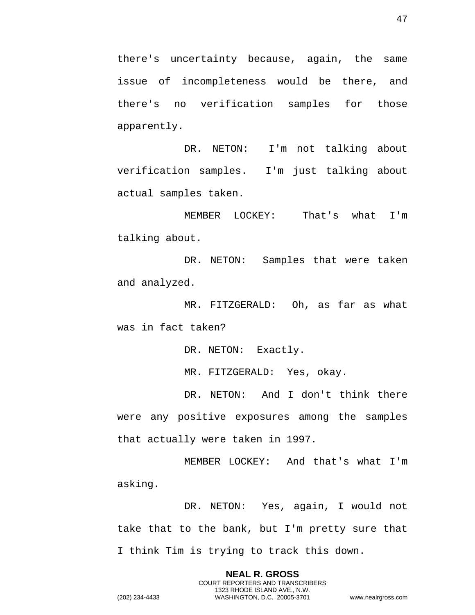there's uncertainty because, again, the same issue of incompleteness would be there, and there's no verification samples for those apparently.

DR. NETON: I'm not talking about verification samples. I'm just talking about actual samples taken.

MEMBER LOCKEY: That's what I'm talking about.

DR. NETON: Samples that were taken and analyzed.

MR. FITZGERALD: Oh, as far as what was in fact taken?

DR. NETON: Exactly.

MR. FITZGERALD: Yes, okay.

DR. NETON: And I don't think there were any positive exposures among the samples that actually were taken in 1997.

MEMBER LOCKEY: And that's what I'm asking.

DR. NETON: Yes, again, I would not take that to the bank, but I'm pretty sure that I think Tim is trying to track this down.

> **NEAL R. GROSS** COURT REPORTERS AND TRANSCRIBERS 1323 RHODE ISLAND AVE., N.W.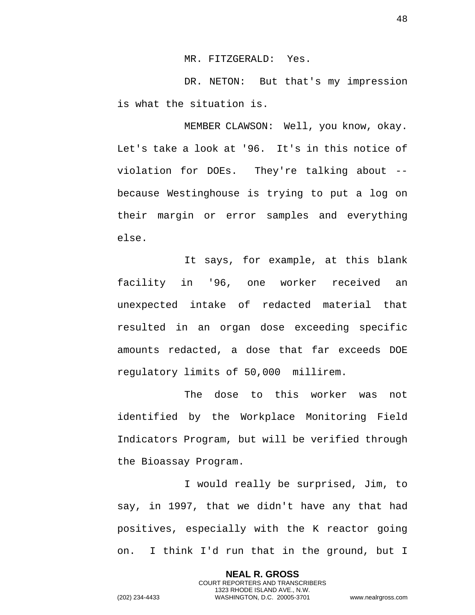MR. FITZGERALD: Yes.

DR. NETON: But that's my impression is what the situation is.

MEMBER CLAWSON: Well, you know, okay. Let's take a look at '96. It's in this notice of violation for DOEs. They're talking about - because Westinghouse is trying to put a log on their margin or error samples and everything else.

It says, for example, at this blank facility in '96, one worker received an unexpected intake of redacted material that resulted in an organ dose exceeding specific amounts redacted, a dose that far exceeds DOE regulatory limits of 50,000 millirem.

The dose to this worker was not identified by the Workplace Monitoring Field Indicators Program, but will be verified through the Bioassay Program.

I would really be surprised, Jim, to say, in 1997, that we didn't have any that had positives, especially with the K reactor going on. I think I'd run that in the ground, but I

> **NEAL R. GROSS** COURT REPORTERS AND TRANSCRIBERS 1323 RHODE ISLAND AVE., N.W.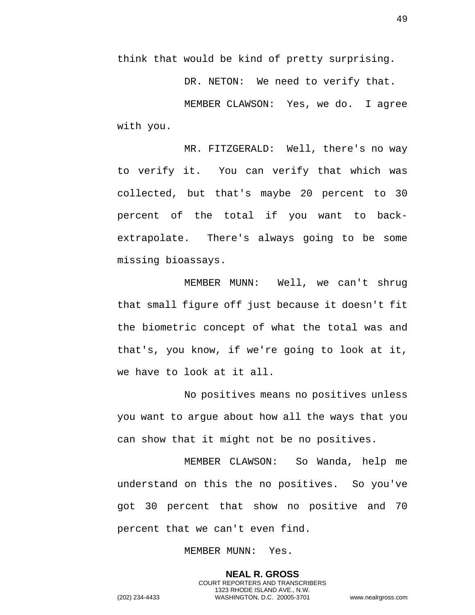think that would be kind of pretty surprising.

DR. NETON: We need to verify that. MEMBER CLAWSON: Yes, we do. I agree with you.

MR. FITZGERALD: Well, there's no way to verify it. You can verify that which was collected, but that's maybe 20 percent to 30 percent of the total if you want to backextrapolate. There's always going to be some missing bioassays.

MEMBER MUNN: Well, we can't shrug that small figure off just because it doesn't fit the biometric concept of what the total was and that's, you know, if we're going to look at it, we have to look at it all.

No positives means no positives unless you want to argue about how all the ways that you can show that it might not be no positives.

MEMBER CLAWSON: So Wanda, help me understand on this the no positives. So you've got 30 percent that show no positive and 70 percent that we can't even find.

MEMBER MUNN: Yes.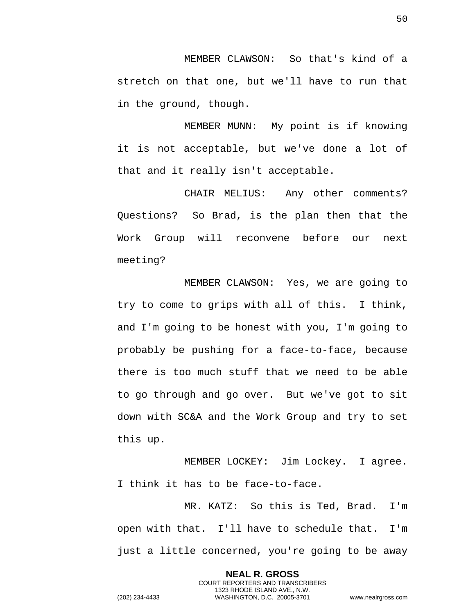MEMBER CLAWSON: So that's kind of a stretch on that one, but we'll have to run that in the ground, though.

MEMBER MUNN: My point is if knowing it is not acceptable, but we've done a lot of that and it really isn't acceptable.

CHAIR MELIUS: Any other comments? Questions? So Brad, is the plan then that the Work Group will reconvene before our next meeting?

MEMBER CLAWSON: Yes, we are going to try to come to grips with all of this. I think, and I'm going to be honest with you, I'm going to probably be pushing for a face-to-face, because there is too much stuff that we need to be able to go through and go over. But we've got to sit down with SC&A and the Work Group and try to set this up.

MEMBER LOCKEY: Jim Lockey. I agree. I think it has to be face-to-face.

MR. KATZ: So this is Ted, Brad. I'm open with that. I'll have to schedule that. I'm just a little concerned, you're going to be away

> **NEAL R. GROSS** COURT REPORTERS AND TRANSCRIBERS 1323 RHODE ISLAND AVE., N.W.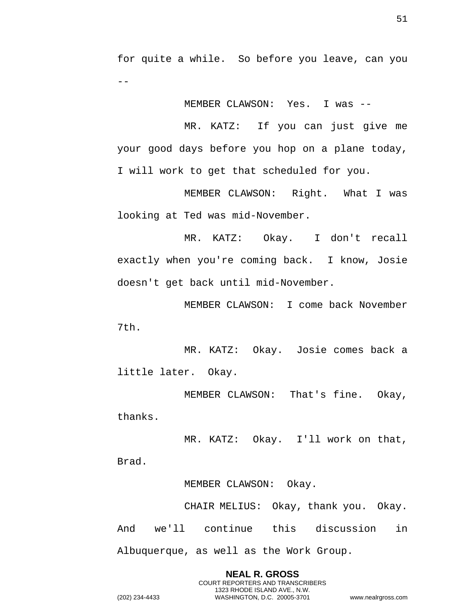for quite a while. So before you leave, can you --

MEMBER CLAWSON: Yes. I was --

MR. KATZ: If you can just give me your good days before you hop on a plane today, I will work to get that scheduled for you.

MEMBER CLAWSON: Right. What I was looking at Ted was mid-November.

MR. KATZ: Okay. I don't recall exactly when you're coming back. I know, Josie doesn't get back until mid-November.

MEMBER CLAWSON: I come back November 7th.

MR. KATZ: Okay. Josie comes back a little later. Okay.

MEMBER CLAWSON: That's fine. Okay, thanks.

MR. KATZ: Okay. I'll work on that, Brad.

MEMBER CLAWSON: Okay.

CHAIR MELIUS: Okay, thank you. Okay. And we'll continue this discussion in Albuquerque, as well as the Work Group.

**NEAL R. GROSS** COURT REPORTERS AND TRANSCRIBERS 1323 RHODE ISLAND AVE., N.W. (202) 234-4433 WASHINGTON, D.C. 20005-3701 www.nealrgross.com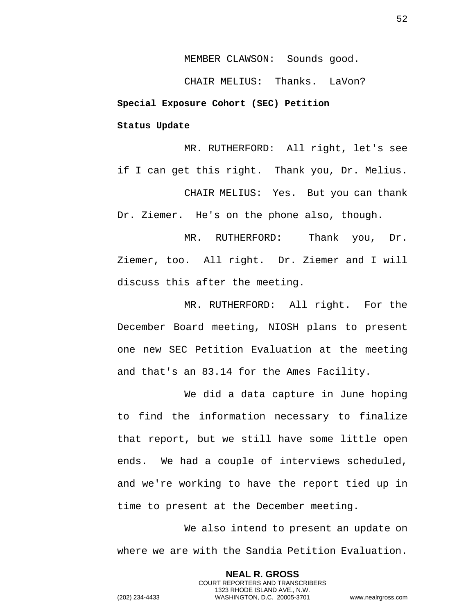MEMBER CLAWSON: Sounds good.

<span id="page-51-1"></span><span id="page-51-0"></span>CHAIR MELIUS: Thanks. LaVon? **Special Exposure Cohort (SEC) Petition Status Update** 

MR. RUTHERFORD: All right, let's see if I can get this right. Thank you, Dr. Melius.

CHAIR MELIUS: Yes. But you can thank Dr. Ziemer. He's on the phone also, though.

MR. RUTHERFORD: Thank you, Dr. Ziemer, too. All right. Dr. Ziemer and I will discuss this after the meeting.

MR. RUTHERFORD: All right. For the December Board meeting, NIOSH plans to present one new SEC Petition Evaluation at the meeting and that's an 83.14 for the Ames Facility.

We did a data capture in June hoping to find the information necessary to finalize that report, but we still have some little open ends. We had a couple of interviews scheduled, and we're working to have the report tied up in time to present at the December meeting.

We also intend to present an update on where we are with the Sandia Petition Evaluation.

> **NEAL R. GROSS** COURT REPORTERS AND TRANSCRIBERS 1323 RHODE ISLAND AVE., N.W.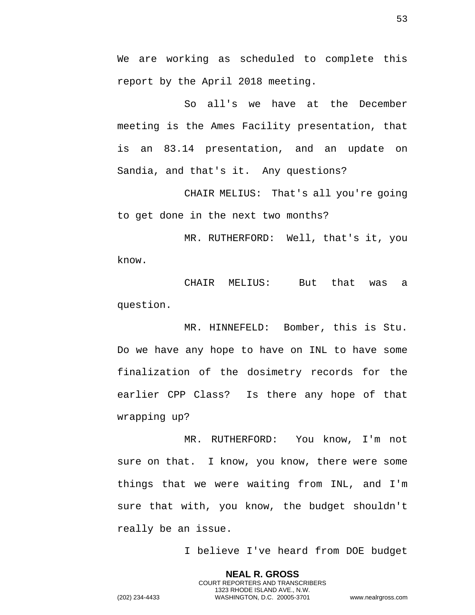We are working as scheduled to complete this report by the April 2018 meeting.

So all's we have at the December meeting is the Ames Facility presentation, that is an 83.14 presentation, and an update on Sandia, and that's it. Any questions?

CHAIR MELIUS: That's all you're going to get done in the next two months?

MR. RUTHERFORD: Well, that's it, you know.

CHAIR MELIUS: But that was a question.

MR. HINNEFELD: Bomber, this is Stu. Do we have any hope to have on INL to have some finalization of the dosimetry records for the earlier CPP Class? Is there any hope of that wrapping up?

MR. RUTHERFORD: You know, I'm not sure on that. I know, you know, there were some things that we were waiting from INL, and I'm sure that with, you know, the budget shouldn't really be an issue.

I believe I've heard from DOE budget

**NEAL R. GROSS** COURT REPORTERS AND TRANSCRIBERS 1323 RHODE ISLAND AVE., N.W. (202) 234-4433 WASHINGTON, D.C. 20005-3701 www.nealrgross.com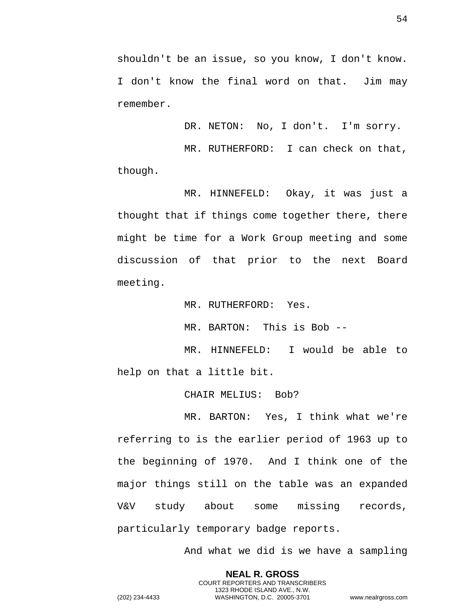54

shouldn't be an issue, so you know, I don't know. I don't know the final word on that. Jim may remember.

DR. NETON: No, I don't. I'm sorry.

MR. RUTHERFORD: I can check on that, though.

MR. HINNEFELD: Okay, it was just a thought that if things come together there, there might be time for a Work Group meeting and some discussion of that prior to the next Board meeting.

MR. RUTHERFORD: Yes.

MR. BARTON: This is Bob --

MR. HINNEFELD: I would be able to help on that a little bit.

CHAIR MELIUS: Bob?

MR. BARTON: Yes, I think what we're referring to is the earlier period of 1963 up to the beginning of 1970. And I think one of the major things still on the table was an expanded V&V study about some missing records, particularly temporary badge reports.

> **NEAL R. GROSS** COURT REPORTERS AND TRANSCRIBERS 1323 RHODE ISLAND AVE., N.W.

And what we did is we have a sampling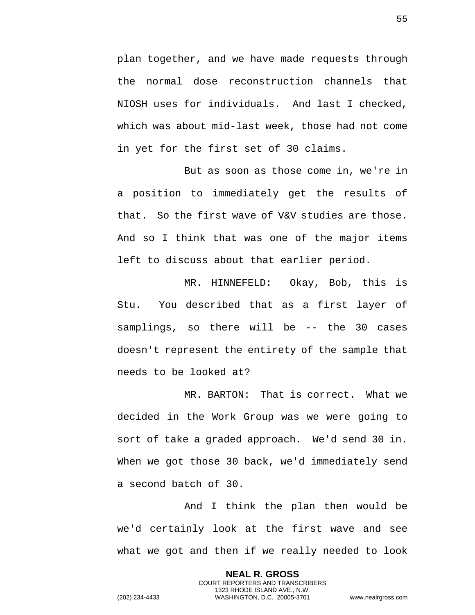plan together, and we have made requests through the normal dose reconstruction channels that NIOSH uses for individuals. And last I checked, which was about mid-last week, those had not come in yet for the first set of 30 claims.

But as soon as those come in, we're in a position to immediately get the results of that. So the first wave of V&V studies are those. And so I think that was one of the major items left to discuss about that earlier period.

MR. HINNEFELD: Okay, Bob, this is Stu. You described that as a first layer of samplings, so there will be -- the 30 cases doesn't represent the entirety of the sample that needs to be looked at?

MR. BARTON: That is correct. What we decided in the Work Group was we were going to sort of take a graded approach. We'd send 30 in. When we got those 30 back, we'd immediately send a second batch of 30.

And I think the plan then would be we'd certainly look at the first wave and see what we got and then if we really needed to look

> **NEAL R. GROSS** COURT REPORTERS AND TRANSCRIBERS 1323 RHODE ISLAND AVE., N.W.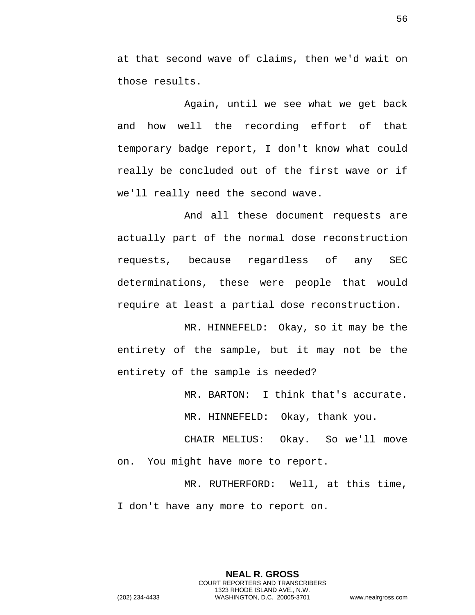at that second wave of claims, then we'd wait on those results.

Again, until we see what we get back and how well the recording effort of that temporary badge report, I don't know what could really be concluded out of the first wave or if we'll really need the second wave.

And all these document requests are actually part of the normal dose reconstruction requests, because regardless of any SEC determinations, these were people that would require at least a partial dose reconstruction.

MR. HINNEFELD: Okay, so it may be the entirety of the sample, but it may not be the entirety of the sample is needed?

MR. BARTON: I think that's accurate.

MR. HINNEFELD: Okay, thank you.

CHAIR MELIUS: Okay. So we'll move on. You might have more to report.

MR. RUTHERFORD: Well, at this time, I don't have any more to report on.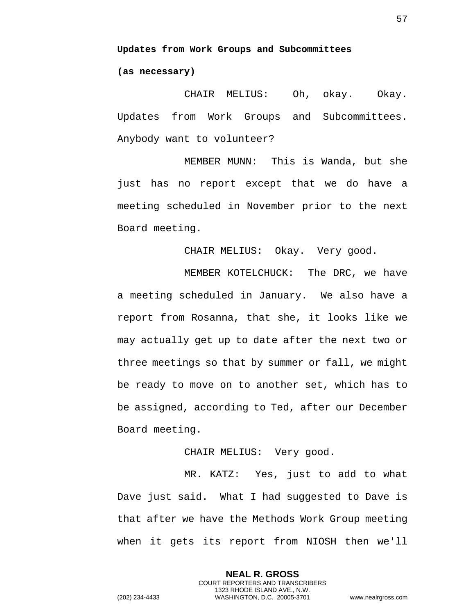<span id="page-56-1"></span><span id="page-56-0"></span>**Updates from Work Groups and Subcommittees (as necessary)** 

CHAIR MELIUS: Oh, okay. Okay. Updates from Work Groups and Subcommittees. Anybody want to volunteer?

MEMBER MUNN: This is Wanda, but she just has no report except that we do have a meeting scheduled in November prior to the next Board meeting.

CHAIR MELIUS: Okay. Very good.

MEMBER KOTELCHUCK: The DRC, we have a meeting scheduled in January. We also have a report from Rosanna, that she, it looks like we may actually get up to date after the next two or three meetings so that by summer or fall, we might be ready to move on to another set, which has to be assigned, according to Ted, after our December Board meeting.

### CHAIR MELIUS: Very good.

MR. KATZ: Yes, just to add to what Dave just said. What I had suggested to Dave is that after we have the Methods Work Group meeting when it gets its report from NIOSH then we'll

> **NEAL R. GROSS** COURT REPORTERS AND TRANSCRIBERS 1323 RHODE ISLAND AVE., N.W.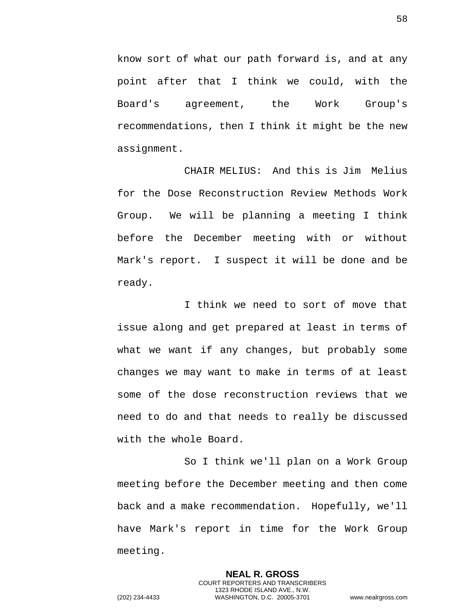know sort of what our path forward is, and at any point after that I think we could, with the Board's agreement, the Work Group's recommendations, then I think it might be the new assignment.

CHAIR MELIUS: And this is Jim Melius for the Dose Reconstruction Review Methods Work Group. We will be planning a meeting I think before the December meeting with or without Mark's report. I suspect it will be done and be ready.

I think we need to sort of move that issue along and get prepared at least in terms of what we want if any changes, but probably some changes we may want to make in terms of at least some of the dose reconstruction reviews that we need to do and that needs to really be discussed with the whole Board.

So I think we'll plan on a Work Group meeting before the December meeting and then come back and a make recommendation. Hopefully, we'll have Mark's report in time for the Work Group meeting.

> **NEAL R. GROSS** COURT REPORTERS AND TRANSCRIBERS 1323 RHODE ISLAND AVE., N.W.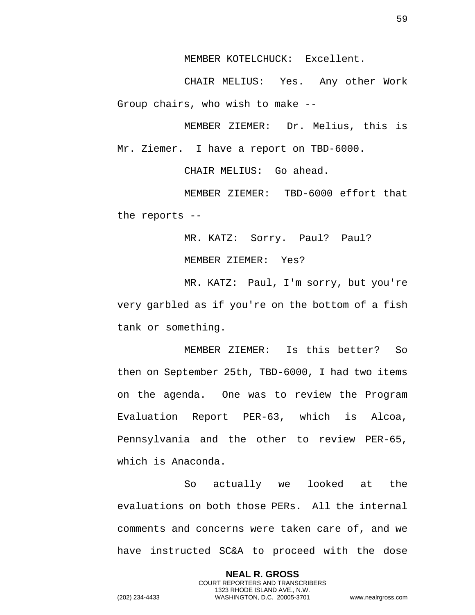MEMBER KOTELCHUCK: Excellent.

CHAIR MELIUS: Yes. Any other Work Group chairs, who wish to make --

MEMBER ZIEMER: Dr. Melius, this is Mr. Ziemer. I have a report on TBD-6000.

CHAIR MELIUS: Go ahead.

MEMBER ZIEMER: TBD-6000 effort that the reports --

MR. KATZ: Sorry. Paul? Paul?

MEMBER ZIEMER: Yes?

MR. KATZ: Paul, I'm sorry, but you're very garbled as if you're on the bottom of a fish tank or something.

MEMBER ZIEMER: Is this better? So then on September 25th, TBD-6000, I had two items on the agenda. One was to review the Program Evaluation Report PER-63, which is Alcoa, Pennsylvania and the other to review PER-65, which is Anaconda.

So actually we looked at the evaluations on both those PERs. All the internal comments and concerns were taken care of, and we have instructed SC&A to proceed with the dose

> **NEAL R. GROSS** COURT REPORTERS AND TRANSCRIBERS 1323 RHODE ISLAND AVE., N.W.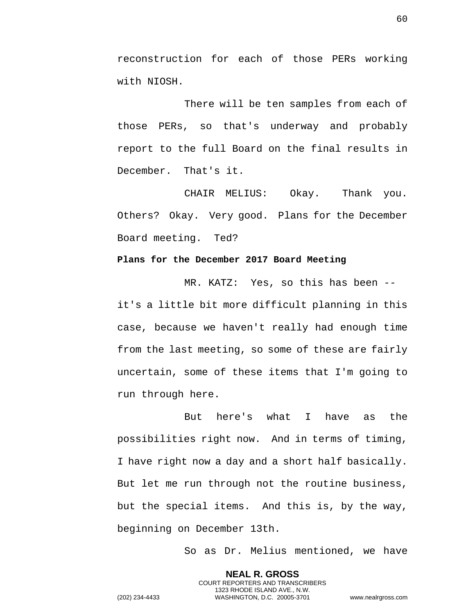reconstruction for each of those PERs working with NIOSH.

There will be ten samples from each of those PERs, so that's underway and probably report to the full Board on the final results in December. That's it.

CHAIR MELIUS: Okay. Thank you. Others? Okay. Very good. Plans for the December Board meeting. Ted?

### <span id="page-59-0"></span>**Plans for the December 2017 Board Meeting**

MR. KATZ: Yes, so this has been - it's a little bit more difficult planning in this case, because we haven't really had enough time from the last meeting, so some of these are fairly uncertain, some of these items that I'm going to run through here.

But here's what I have as the possibilities right now. And in terms of timing, I have right now a day and a short half basically. But let me run through not the routine business, but the special items. And this is, by the way, beginning on December 13th.

So as Dr. Melius mentioned, we have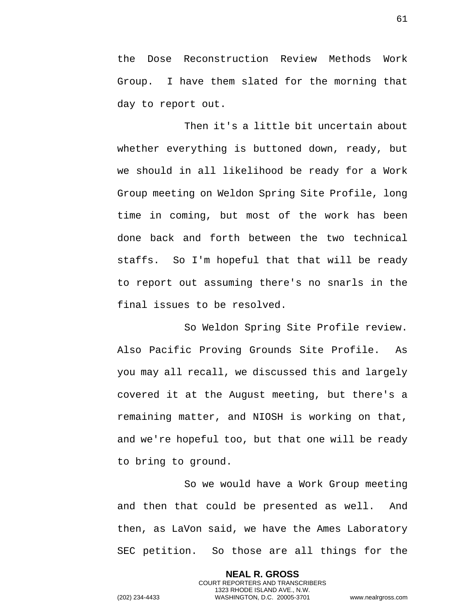the Dose Reconstruction Review Methods Work Group. I have them slated for the morning that day to report out.

Then it's a little bit uncertain about whether everything is buttoned down, ready, but we should in all likelihood be ready for a Work Group meeting on Weldon Spring Site Profile, long time in coming, but most of the work has been done back and forth between the two technical staffs. So I'm hopeful that that will be ready to report out assuming there's no snarls in the final issues to be resolved.

So Weldon Spring Site Profile review. Also Pacific Proving Grounds Site Profile. As you may all recall, we discussed this and largely covered it at the August meeting, but there's a remaining matter, and NIOSH is working on that, and we're hopeful too, but that one will be ready to bring to ground.

So we would have a Work Group meeting and then that could be presented as well. And then, as LaVon said, we have the Ames Laboratory SEC petition. So those are all things for the

> **NEAL R. GROSS** COURT REPORTERS AND TRANSCRIBERS 1323 RHODE ISLAND AVE., N.W.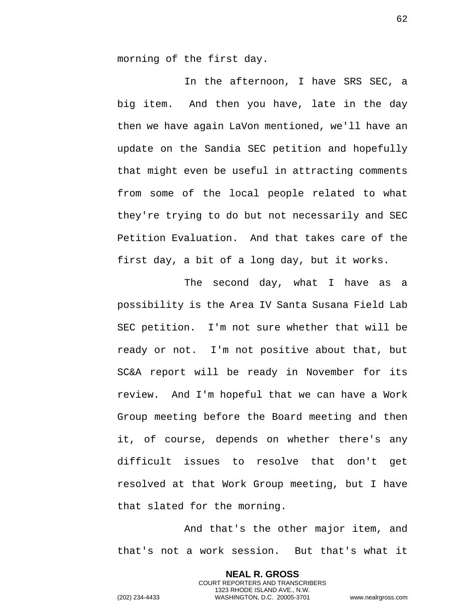morning of the first day.

In the afternoon, I have SRS SEC, a big item. And then you have, late in the day then we have again LaVon mentioned, we'll have an update on the Sandia SEC petition and hopefully that might even be useful in attracting comments from some of the local people related to what they're trying to do but not necessarily and SEC Petition Evaluation. And that takes care of the first day, a bit of a long day, but it works.

The second day, what I have as a possibility is the Area IV Santa Susana Field Lab SEC petition. I'm not sure whether that will be ready or not. I'm not positive about that, but SC&A report will be ready in November for its review. And I'm hopeful that we can have a Work Group meeting before the Board meeting and then it, of course, depends on whether there's any difficult issues to resolve that don't get resolved at that Work Group meeting, but I have that slated for the morning.

And that's the other major item, and that's not a work session. But that's what it

> **NEAL R. GROSS** COURT REPORTERS AND TRANSCRIBERS 1323 RHODE ISLAND AVE., N.W.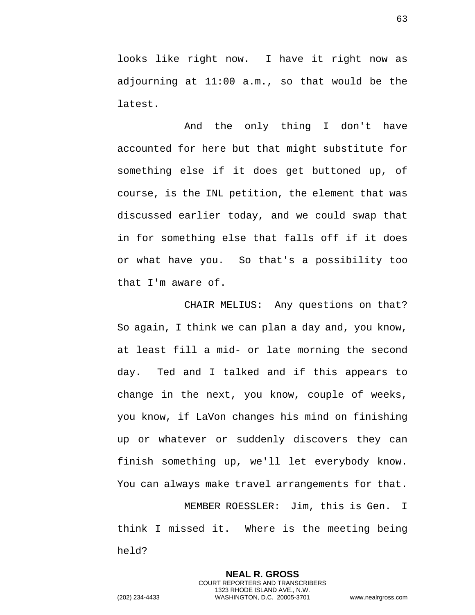looks like right now. I have it right now as adjourning at 11:00 a.m., so that would be the latest.

And the only thing I don't have accounted for here but that might substitute for something else if it does get buttoned up, of course, is the INL petition, the element that was discussed earlier today, and we could swap that in for something else that falls off if it does or what have you. So that's a possibility too that I'm aware of.

CHAIR MELIUS: Any questions on that? So again, I think we can plan a day and, you know, at least fill a mid- or late morning the second day. Ted and I talked and if this appears to change in the next, you know, couple of weeks, you know, if LaVon changes his mind on finishing up or whatever or suddenly discovers they can finish something up, we'll let everybody know. You can always make travel arrangements for that.

MEMBER ROESSLER: Jim, this is Gen. I think I missed it. Where is the meeting being held?

> **NEAL R. GROSS** COURT REPORTERS AND TRANSCRIBERS 1323 RHODE ISLAND AVE., N.W.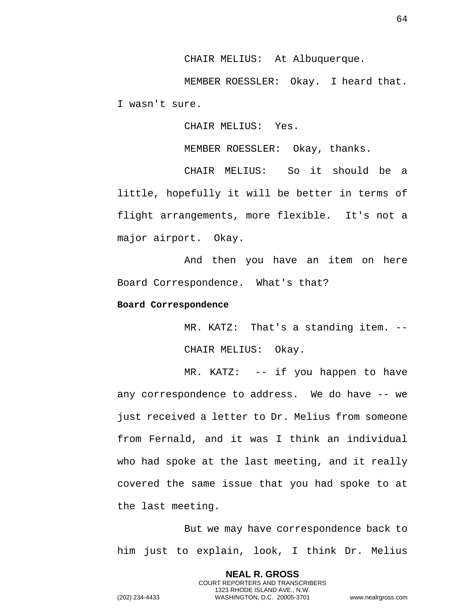CHAIR MELIUS: At Albuquerque.

MEMBER ROESSLER: Okay. I heard that. I wasn't sure.

CHAIR MELIUS: Yes.

MEMBER ROESSLER: Okay, thanks.

CHAIR MELIUS: So it should be a little, hopefully it will be better in terms of flight arrangements, more flexible. It's not a major airport. Okay.

And then you have an item on here Board Correspondence. What's that?

#### <span id="page-63-0"></span>**Board Correspondence**

MR. KATZ: That's a standing item. -- CHAIR MELIUS: Okay.

MR. KATZ: -- if you happen to have any correspondence to address. We do have -- we just received a letter to Dr. Melius from someone from Fernald, and it was I think an individual who had spoke at the last meeting, and it really covered the same issue that you had spoke to at the last meeting.

But we may have correspondence back to him just to explain, look, I think Dr. Melius

> **NEAL R. GROSS** COURT REPORTERS AND TRANSCRIBERS 1323 RHODE ISLAND AVE., N.W.